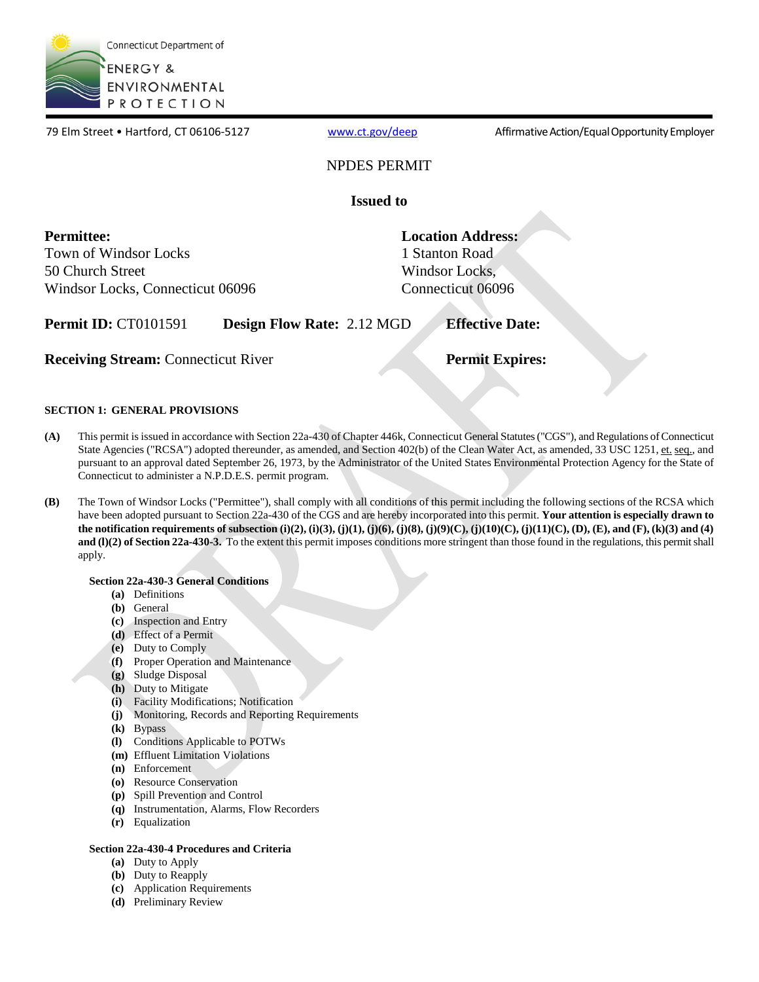

79 Elm Street • Hartford, CT 06106-5127 ww[w.ct.gov/deep](http://www.ct.gov/deep) Affirmative Action/Equal Opportunity Employer

### NPDES PERMIT

**Issued to** 

**Permittee:**  Town of Windsor Locks 50 Church Street Windsor Locks, Connecticut 06096 **Location Address:**  1 Stanton Road Windsor Locks, Connecticut 06096

**Permit ID:** CT0101591 **Design Flow Rate:** 2.12 MGD **Effective Date:** 

**Receiving Stream:** Connecticut River **Permit Expires: Permit Expires:** 

#### **SECTION 1: GENERAL PROVISIONS**

- **(A)** This permit is issued in accordance with Section 22a-430 of Chapter 446k, Connecticut General Statutes ("CGS"), and Regulations of Connecticut State Agencies ("RCSA") adopted thereunder, as amended, and Section 402(b) of the Clean Water Act, as amended, 33 USC 1251, et. seq., and pursuant to an approval dated September 26, 1973, by the Administrator of the United States Environmental Protection Agency for the State of Connecticut to administer a N.P.D.E.S. permit program.
- **(B)** The Town of Windsor Locks ("Permittee"), shall comply with all conditions of this permit including the following sections of the RCSA which have been adopted pursuant to Section 22a-430 of the CGS and are hereby incorporated into this permit. **Your attention is especially drawn to the notification requirements of subsection (i)(2), (i)(3), (j)(1), (j)(6), (j)(8), (j)(9)(C), (j)(10)(C), (j)(11)(C), (D), (E), and (F), (k)(3) and (4) and (I)(2) of Section 22a-430-3.** To the extent this permit imposes conditions more stringent than those found in the regulations, this permit shall apply.

#### **Section 22a-430-3 General Conditions**

- **(a)** Definitions
- **(b)** General
- **(c)** Inspection and Entry
- **(d)** Effect of a Permit
- **(e)** Duty to Comply
- **(f)** Proper Operation and Maintenance
- **(g)** Sludge Disposal
- **(h)** Duty to Mitigate
- **(i)** Facility Modifications; Notification
- **(j)** Monitoring, Records and Reporting Requirements
- **(k)** Bypass
- **(l)** Conditions Applicable to POTWs
- **(m)** Effluent Limitation Violations
- **(n)** Enforcement
- **(o)** Resource Conservation
- **(p)** Spill Prevention and Control
- **(q)** Instrumentation, Alarms, Flow Recorders
- **(r)** Equalization

#### **Section 22a-430-4 Procedures and Criteria**

- **(a)** Duty to Apply
- **(b)** Duty to Reapply
- **(c)** Application Requirements
- **(d)** Preliminary Review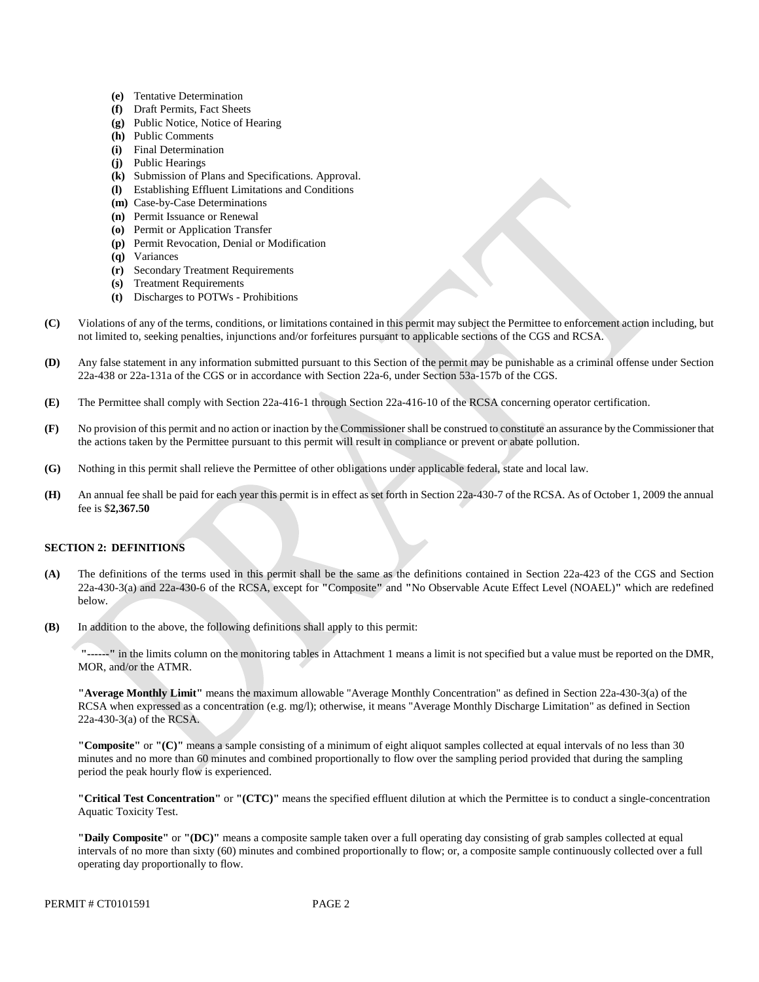- **(e)** Tentative Determination
- **(f)** Draft Permits, Fact Sheets
- **(g)** Public Notice, Notice of Hearing
- **(h)** Public Comments
- **(i)** Final Determination
- **(j)** Public Hearings
- **(k)** Submission of Plans and Specifications. Approval.
- **(l)** Establishing Effluent Limitations and Conditions
- **(m)** Case-by-Case Determinations
- **(n)** Permit Issuance or Renewal
- **(o)** Permit or Application Transfer
- **(p)** Permit Revocation, Denial or Modification
- **(q)** Variances
- **(r)** Secondary Treatment Requirements
- **(s)** Treatment Requirements
- **(t)** Discharges to POTWs Prohibitions
- Violations of any of the terms, conditions, or limitations contained in this permit may subject the Permittee to enforcement action including, but **(C)** not limited to, seeking penalties, injunctions and/or forfeitures pursuant to applicable sections of the CGS and RCSA.
- **(D)** Any false statement in any information submitted pursuant to this Section of the permit may be punishable as a criminal offense under Section 22a-438 or 22a-131a of the CGS or in accordance with Section 22a-6, under Section 53a-157b of the CGS.
- **(E)** The Permittee shall comply with Section 22a-416-1 through Section 22a-416-10 of the RCSA concerning operator certification.
- No provision of this permit and no action or inaction by the Commissioner shall be construed to constitute an assurance by the Commissioner that **(F)** the actions taken by the Permittee pursuant to this permit will result in compliance or prevent or abate pollution.
- **(G)** Nothing in this permit shall relieve the Permittee of other obligations under applicable federal, state and local law.
- An annual fee shall be paid for each year this permit is in effect as set forth in Section 22a-430-7 of the RCSA. As of October 1, 2009 the annual **(H)** fee is \$**2,367.50**

#### **SECTION 2: DEFINITIONS**

- **(A)** The definitions of the terms used in this permit shall be the same as the definitions contained in Section 22a-423 of the CGS and Section 22a-430-3(a) and 22a-430-6 of the RCSA, except for **"**Composite**"** and **"**No Observable Acute Effect Level (NOAEL)**"** which are redefined below.
- **(B)** In addition to the above, the following definitions shall apply to this permit:

**"------"** in the limits column on the monitoring tables in Attachment 1 means a limit is not specified but a value must be reported on the DMR, MOR, and/or the ATMR.

**"Average Monthly Limit"** means the maximum allowable "Average Monthly Concentration" as defined in Section 22a-430-3(a) of the RCSA when expressed as a concentration (e.g. mg/l); otherwise, it means "Average Monthly Discharge Limitation" as defined in Section 22a-430-3(a) of the RCSA.

**"Composite"** or **"(C)"** means a sample consisting of a minimum of eight aliquot samples collected at equal intervals of no less than 30 minutes and no more than 60 minutes and combined proportionally to flow over the sampling period provided that during the sampling period the peak hourly flow is experienced.

**"Critical Test Concentration"** or **"(CTC)"** means the specified effluent dilution at which the Permittee is to conduct a single-concentration Aquatic Toxicity Test.

**"Daily Composite"** or **"(DC)"** means a composite sample taken over a full operating day consisting of grab samples collected at equal intervals of no more than sixty (60) minutes and combined proportionally to flow; or, a composite sample continuously collected over a full operating day proportionally to flow.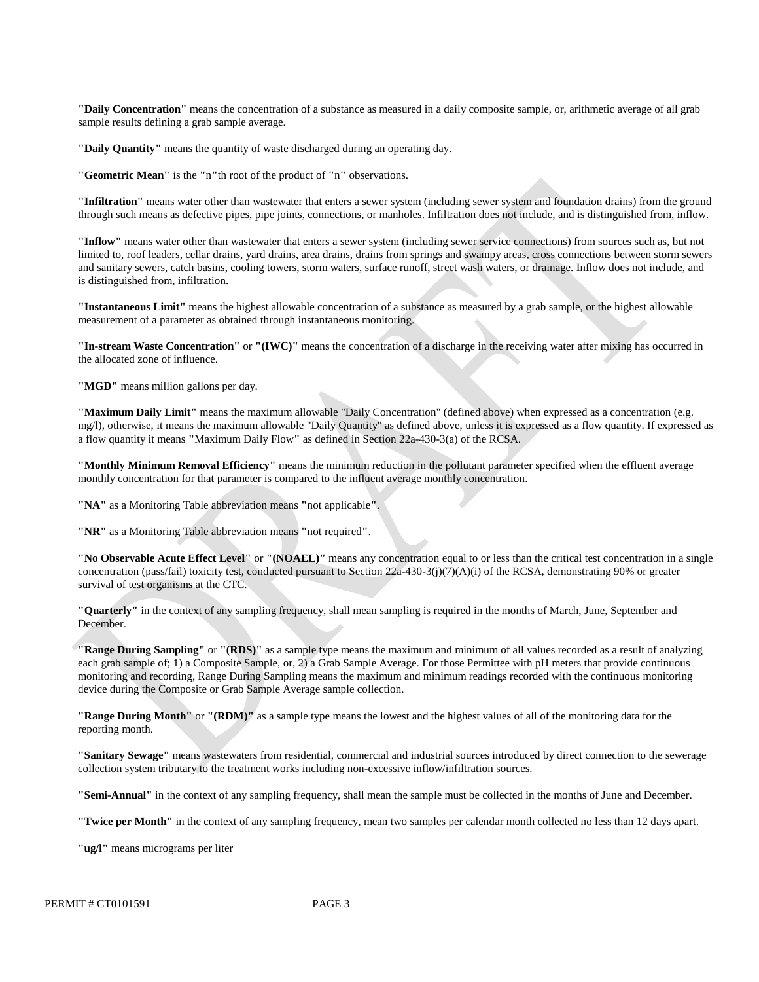**"Daily Concentration"** means the concentration of a substance as measured in a daily composite sample, or, arithmetic average of all grab sample results defining a grab sample average.

**"Daily Quantity"** means the quantity of waste discharged during an operating day.

**"Geometric Mean"** is the **"**n**"**th root of the product of **"**n**"** observations.

**"Infiltration"** means water other than wastewater that enters a sewer system (including sewer system and foundation drains) from the ground through such means as defective pipes, pipe joints, connections, or manholes. Infiltration does not include, and is distinguished from, inflow.

**"Inflow"** means water other than wastewater that enters a sewer system (including sewer service connections) from sources such as, but not limited to, roof leaders, cellar drains, yard drains, area drains, drains from springs and swampy areas, cross connections between storm sewers and sanitary sewers, catch basins, cooling towers, storm waters, surface runoff, street wash waters, or drainage. Inflow does not include, and is distinguished from, infiltration.

**"Instantaneous Limit"** means the highest allowable concentration of a substance as measured by a grab sample, or the highest allowable measurement of a parameter as obtained through instantaneous monitoring.

**"In-stream Waste Concentration"** or **"(IWC)"** means the concentration of a discharge in the receiving water after mixing has occurred in the allocated zone of influence.

**"MGD"** means million gallons per day.

**"Maximum Daily Limit"** means the maximum allowable "Daily Concentration" (defined above) when expressed as a concentration (e.g. mg/l), otherwise, it means the maximum allowable "Daily Quantity" as defined above, unless it is expressed as a flow quantity. If expressed as a flow quantity it means **"**Maximum Daily Flow**"** as defined in Section 22a-430-3(a) of the RCSA.

**"Monthly Minimum Removal Efficiency"** means the minimum reduction in the pollutant parameter specified when the effluent average monthly concentration for that parameter is compared to the influent average monthly concentration.

**"NA"** as a Monitoring Table abbreviation means **"**not applicable**"**.

**"NR"** as a Monitoring Table abbreviation means **"**not required**"**.

**"No Observable Acute Effect Level"** or **"(NOAEL)"** means any concentration equal to or less than the critical test concentration in a single concentration (pass/fail) toxicity test, conducted pursuant to Section 22a-430-3(j)(7)(A)(i) of the RCSA, demonstrating 90% or greater survival of test organisms at the CTC.

**"Quarterly"** in the context of any sampling frequency, shall mean sampling is required in the months of March, June, September and December.

**"Range During Sampling"** or **"(RDS)"** as a sample type means the maximum and minimum of all values recorded as a result of analyzing each grab sample of; 1) a Composite Sample, or, 2) a Grab Sample Average. For those Permittee with pH meters that provide continuous monitoring and recording, Range During Sampling means the maximum and minimum readings recorded with the continuous monitoring device during the Composite or Grab Sample Average sample collection.

**"Range During Month"** or **"(RDM)"** as a sample type means the lowest and the highest values of all of the monitoring data for the reporting month.

**"Sanitary Sewage"** means wastewaters from residential, commercial and industrial sources introduced by direct connection to the sewerage collection system tributary to the treatment works including non-excessive inflow/infiltration sources.

**"Semi-Annual"** in the context of any sampling frequency, shall mean the sample must be collected in the months of June and December.

**"Twice per Month"** in the context of any sampling frequency, mean two samples per calendar month collected no less than 12 days apart.

**"ug/l"** means micrograms per liter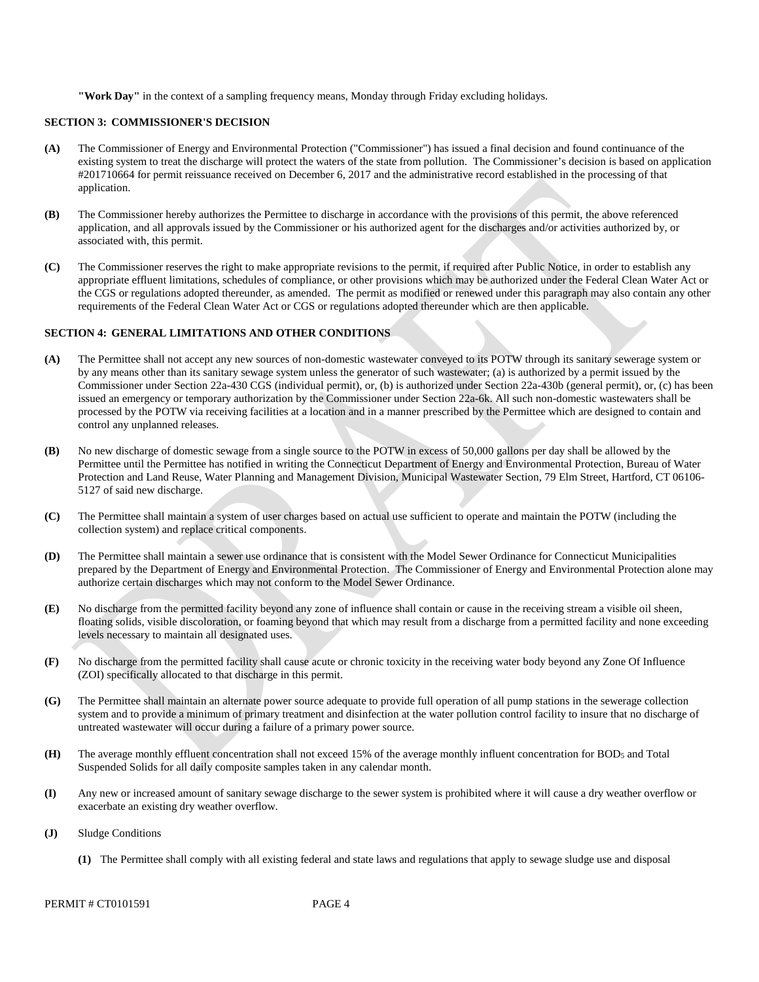**"Work Day"** in the context of a sampling frequency means, Monday through Friday excluding holidays.

#### **SECTION 3: COMMISSIONER'S DECISION**

- **(A)** The Commissioner of Energy and Environmental Protection ("Commissioner") has issued a final decision and found continuance of the existing system to treat the discharge will protect the waters of the state from pollution. The Commissioner's decision is based on application #201710664 for permit reissuance received on December 6, 2017 and the administrative record established in the processing of that application.
- **(B)** The Commissioner hereby authorizes the Permittee to discharge in accordance with the provisions of this permit, the above referenced application, and all approvals issued by the Commissioner or his authorized agent for the discharges and/or activities authorized by, or associated with, this permit.
- **(C)** The Commissioner reserves the right to make appropriate revisions to the permit, if required after Public Notice, in order to establish any appropriate effluent limitations, schedules of compliance, or other provisions which may be authorized under the Federal Clean Water Act or the CGS or regulations adopted thereunder, as amended. The permit as modified or renewed under this paragraph may also contain any other requirements of the Federal Clean Water Act or CGS or regulations adopted thereunder which are then applicable.

#### **SECTION 4: GENERAL LIMITATIONS AND OTHER CONDITIONS**

- **(A)** The Permittee shall not accept any new sources of non-domestic wastewater conveyed to its POTW through its sanitary sewerage system or by any means other than its sanitary sewage system unless the generator of such wastewater; (a) is authorized by a permit issued by the Commissioner under Section 22a-430 CGS (individual permit), or, (b) is authorized under Section 22a-430b (general permit), or, (c) has been issued an emergency or temporary authorization by the Commissioner under Section 22a-6k. All such non-domestic wastewaters shall be processed by the POTW via receiving facilities at a location and in a manner prescribed by the Permittee which are designed to contain and control any unplanned releases.
- No new discharge of domestic sewage from a single source to the POTW in excess of 50,000 gallons per day shall be allowed by the **(B)** Permittee until the Permittee has notified in writing the Connecticut Department of Energy and Environmental Protection, Bureau of Water Protection and Land Reuse, Water Planning and Management Division, Municipal Wastewater Section, 79 Elm Street, Hartford, CT 06106- 5127 of said new discharge.
- **(C)** The Permittee shall maintain a system of user charges based on actual use sufficient to operate and maintain the POTW (including the collection system) and replace critical components.
- **(D)** The Permittee shall maintain a sewer use ordinance that is consistent with the Model Sewer Ordinance for Connecticut Municipalities prepared by the Department of Energy and Environmental Protection. The Commissioner of Energy and Environmental Protection alone may authorize certain discharges which may not conform to the Model Sewer Ordinance.
- **(E)** No discharge from the permitted facility beyond any zone of influence shall contain or cause in the receiving stream a visible oil sheen, floating solids, visible discoloration, or foaming beyond that which may result from a discharge from a permitted facility and none exceeding levels necessary to maintain all designated uses.
- **(F)** No discharge from the permitted facility shall cause acute or chronic toxicity in the receiving water body beyond any Zone Of Influence (ZOI) specifically allocated to that discharge in this permit.
- **(G)** The Permittee shall maintain an alternate power source adequate to provide full operation of all pump stations in the sewerage collection system and to provide a minimum of primary treatment and disinfection at the water pollution control facility to insure that no discharge of untreated wastewater will occur during a failure of a primary power source.
- The average monthly effluent concentration shall not exceed 15% of the average monthly influent concentration for BOD<sub>5</sub> and Total **(H)** Suspended Solids for all daily composite samples taken in any calendar month.
- **(I)** Any new or increased amount of sanitary sewage discharge to the sewer system is prohibited where it will cause a dry weather overflow or exacerbate an existing dry weather overflow.
- **(J)** Sludge Conditions
	- **(1)** The Permittee shall comply with all existing federal and state laws and regulations that apply to sewage sludge use and disposal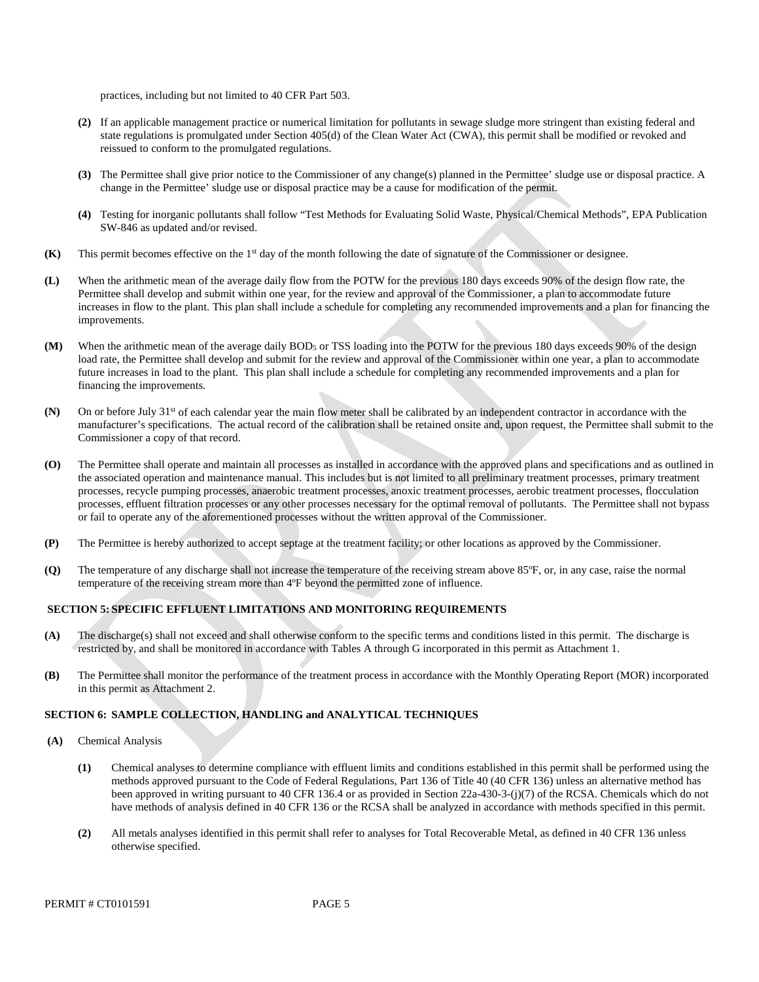practices, including but not limited to 40 CFR Part 503.

- **(2)** If an applicable management practice or numerical limitation for pollutants in sewage sludge more stringent than existing federal and state regulations is promulgated under Section 405(d) of the Clean Water Act (CWA), this permit shall be modified or revoked and reissued to conform to the promulgated regulations.
- **(3)** The Permittee shall give prior notice to the Commissioner of any change(s) planned in the Permittee' sludge use or disposal practice. A change in the Permittee' sludge use or disposal practice may be a cause for modification of the permit.
- **(4)** Testing for inorganic pollutants shall follow "Test Methods for Evaluating Solid Waste, Physical/Chemical Methods", EPA Publication SW-846 as updated and/or revised.
- **(K)** This permit becomes effective on the  $1<sup>st</sup>$  day of the month following the date of signature of the Commissioner or designee.
- improvements. **(L)** When the arithmetic mean of the average daily flow from the POTW for the previous 180 days exceeds 90% of the design flow rate, the Permittee shall develop and submit within one year, for the review and approval of the Commissioner, a plan to accommodate future increases in flow to the plant. This plan shall include a schedule for completing any recommended improvements and a plan for financing the
- future increases in load to the plant. This plan shall include a schedule for completing any recommended improvements and a plan for **(M)** When the arithmetic mean of the average daily BOD<sub>5</sub> or TSS loading into the POTW for the previous 180 days exceeds 90% of the design load rate, the Permittee shall develop and submit for the review and approval of the Commissioner within one year, a plan to accommodate financing the improvements.
- **(N)** On or before July  $31<sup>st</sup>$  of each calendar year the main flow meter shall be calibrated by an independent contractor in accordance with the manufacturer's specifications. The actual record of the calibration shall be retained onsite and, upon request, the Permittee shall submit to the Commissioner a copy of that record.
- **(O)** The Permittee shall operate and maintain all processes as installed in accordance with the approved plans and specifications and as outlined in the associated operation and maintenance manual. This includes but is not limited to all preliminary treatment processes, primary treatment processes, recycle pumping processes, anaerobic treatment processes, anoxic treatment processes, aerobic treatment processes, flocculation processes, effluent filtration processes or any other processes necessary for the optimal removal of pollutants. The Permittee shall not bypass or fail to operate any of the aforementioned processes without the written approval of the Commissioner.
- **(P)** The Permittee is hereby authorized to accept septage at the treatment facility; or other locations as approved by the Commissioner.
- **(Q)** The temperature of any discharge shall not increase the temperature of the receiving stream above 85ºF, or, in any case, raise the normal temperature of the receiving stream more than 4ºF beyond the permitted zone of influence.

#### **SECTION 5: SPECIFIC EFFLUENT LIMITATIONS AND MONITORING REQUIREMENTS**

- restricted by, and shall be monitored in accordance with Tables A through G incorporated in this permit as Attachment 1. **(A)** The discharge(s) shall not exceed and shall otherwise conform to the specific terms and conditions listed in this permit. The discharge is
- in this permit as Attachment 2. **(B)** The Permittee shall monitor the performance of the treatment process in accordance with the Monthly Operating Report (MOR) incorporated

#### **SECTION 6: SAMPLE COLLECTION, HANDLING and ANALYTICAL TECHNIQUES**

- **(A)** Chemical Analysis
	- **(1)** Chemical analyses to determine compliance with effluent limits and conditions established in this permit shall be performed using the methods approved pursuant to the Code of Federal Regulations, Part 136 of Title 40 (40 CFR 136) unless an alternative method has been approved in writing pursuant to 40 CFR 136.4 or as provided in Section 22a-430-3-(j)(7) of the RCSA. Chemicals which do not have methods of analysis defined in 40 CFR 136 or the RCSA shall be analyzed in accordance with methods specified in this permit.
	- **(2)** All metals analyses identified in this permit shall refer to analyses for Total Recoverable Metal, as defined in 40 CFR 136 unless otherwise specified.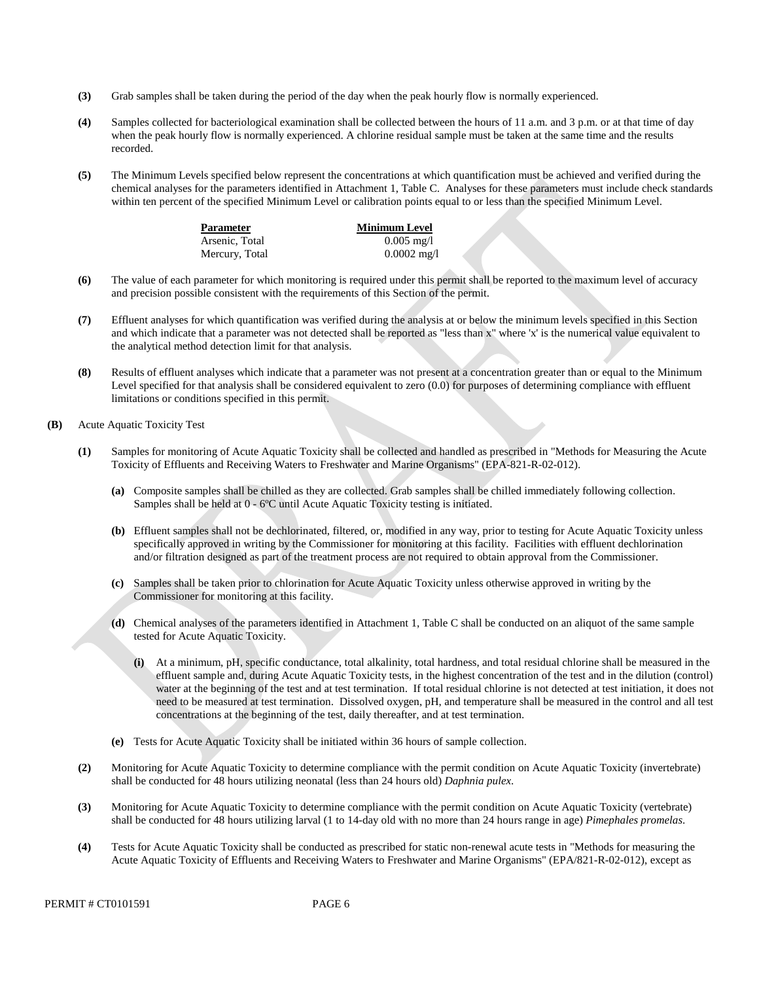- **(3)** Grab samples shall be taken during the period of the day when the peak hourly flow is normally experienced.
- **(4)** Samples collected for bacteriological examination shall be collected between the hours of 11 a.m. and 3 p.m. or at that time of day when the peak hourly flow is normally experienced. A chlorine residual sample must be taken at the same time and the results recorded.
- **(5)** The Minimum Levels specified below represent the concentrations at which quantification must be achieved and verified during the chemical analyses for the parameters identified in Attachment 1, Table C. Analyses for these parameters must include check standards within ten percent of the specified Minimum Level or calibration points equal to or less than the specified Minimum Level.

| Parameter      | <b>Minimum Level</b>  |
|----------------|-----------------------|
| Arsenic, Total | $0.005 \text{ mg/l}$  |
| Mercury, Total | $0.0002 \text{ mg}/1$ |

- **(6)** The value of each parameter for which monitoring is required under this permit shall be reported to the maximum level of accuracy and precision possible consistent with the requirements of this Section of the permit.
- **(7)** Effluent analyses for which quantification was verified during the analysis at or below the minimum levels specified in this Section and which indicate that a parameter was not detected shall be reported as "less than x" where 'x' is the numerical value equivalent to the analytical method detection limit for that analysis.
- **(8)** Results of effluent analyses which indicate that a parameter was not present at a concentration greater than or equal to the Minimum Level specified for that analysis shall be considered equivalent to zero  $(0.0)$  for purposes of determining compliance with effluent limitations or conditions specified in this permit.
- **(B)** Acute Aquatic Toxicity Test
	- **(1)** Samples for monitoring of Acute Aquatic Toxicity shall be collected and handled as prescribed in "Methods for Measuring the Acute Toxicity of Effluents and Receiving Waters to Freshwater and Marine Organisms" (EPA-821-R-02-012).
		- **(a)** Composite samples shall be chilled as they are collected. Grab samples shall be chilled immediately following collection. Samples shall be held at 0 - 6ºC until Acute Aquatic Toxicity testing is initiated.
		- **(b)** Effluent samples shall not be dechlorinated, filtered, or, modified in any way, prior to testing for Acute Aquatic Toxicity unless specifically approved in writing by the Commissioner for monitoring at this facility. Facilities with effluent dechlorination and/or filtration designed as part of the treatment process are not required to obtain approval from the Commissioner.
		- **(c)** Samples shall be taken prior to chlorination for Acute Aquatic Toxicity unless otherwise approved in writing by the Commissioner for monitoring at this facility.
		- **(d)** Chemical analyses of the parameters identified in Attachment 1, Table C shall be conducted on an aliquot of the same sample tested for Acute Aquatic Toxicity.
			- **(i)** At a minimum, pH, specific conductance, total alkalinity, total hardness, and total residual chlorine shall be measured in the effluent sample and, during Acute Aquatic Toxicity tests, in the highest concentration of the test and in the dilution (control) water at the beginning of the test and at test termination. If total residual chlorine is not detected at test initiation, it does not need to be measured at test termination. Dissolved oxygen, pH, and temperature shall be measured in the control and all test concentrations at the beginning of the test, daily thereafter, and at test termination.
		- **(e)** Tests for Acute Aquatic Toxicity shall be initiated within 36 hours of sample collection.
	- **(2)** Monitoring for Acute Aquatic Toxicity to determine compliance with the permit condition on Acute Aquatic Toxicity (invertebrate) shall be conducted for 48 hours utilizing neonatal (less than 24 hours old) *Daphnia pulex*.
	- **(3)** Monitoring for Acute Aquatic Toxicity to determine compliance with the permit condition on Acute Aquatic Toxicity (vertebrate) shall be conducted for 48 hours utilizing larval (1 to 14-day old with no more than 24 hours range in age) *Pimephales promelas*.
	- **(4)** Tests for Acute Aquatic Toxicity shall be conducted as prescribed for static non-renewal acute tests in "Methods for measuring the Acute Aquatic Toxicity of Effluents and Receiving Waters to Freshwater and Marine Organisms" (EPA/821-R-02-012), except as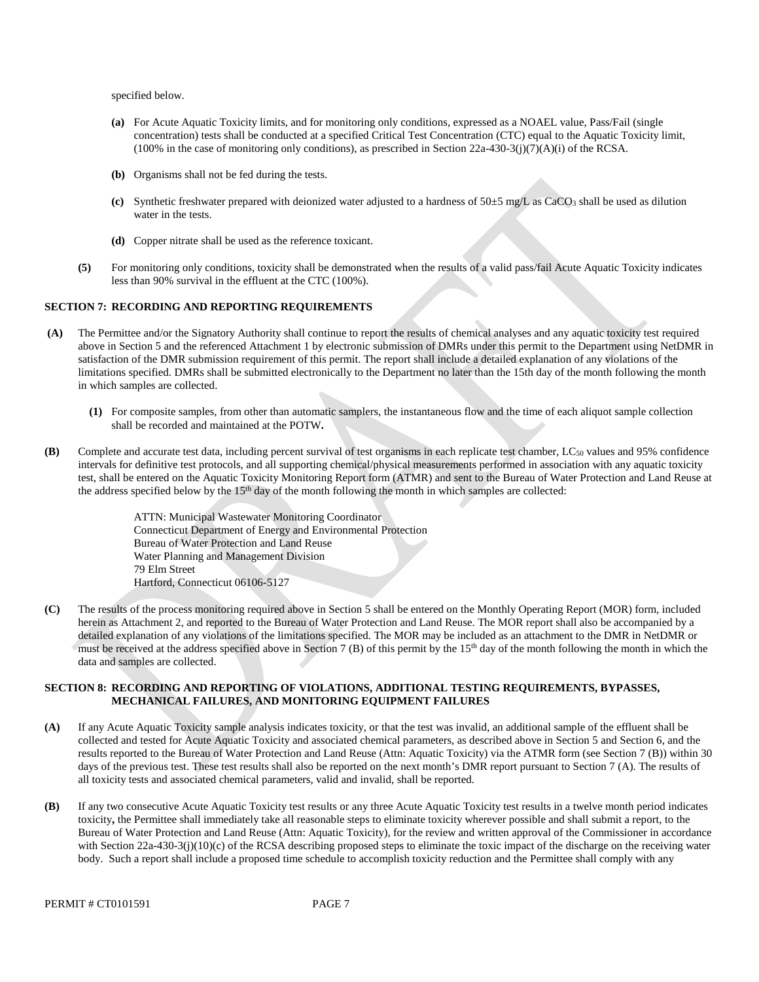specified below.

- **(a)** For Acute Aquatic Toxicity limits, and for monitoring only conditions, expressed as a NOAEL value, Pass/Fail (single concentration) tests shall be conducted at a specified Critical Test Concentration (CTC) equal to the Aquatic Toxicity limit, (100% in the case of monitoring only conditions), as prescribed in Section  $22a-430-3(j)(7)(A)(i)$  of the RCSA.
- **(b)** Organisms shall not be fed during the tests.
- **(c)** Synthetic freshwater prepared with deionized water adjusted to a hardness of 50±5 mg/L as CaCO3 shall be used as dilution water in the tests.
- **(d)** Copper nitrate shall be used as the reference toxicant.
- less than 90% survival in the effluent at the CTC (100%). **(5)** For monitoring only conditions, toxicity shall be demonstrated when the results of a valid pass/fail Acute Aquatic Toxicity indicates

#### **SECTION 7: RECORDING AND REPORTING REQUIREMENTS**

- **(A)** The Permittee and/or the Signatory Authority shall continue to report the results of chemical analyses and any aquatic toxicity test required above in Section 5 and the referenced Attachment 1 by electronic submission of DMRs under this permit to the Department using NetDMR in satisfaction of the DMR submission requirement of this permit. The report shall include a detailed explanation of any violations of the limitations specified. DMRs shall be submitted electronically to the Department no later than the 15th day of the month following the month in which samples are collected.
	- shall be recorded and maintained at the POTW**. (1)** For composite samples, from other than automatic samplers, the instantaneous flow and the time of each aliquot sample collection
- **(B)** Complete and accurate test data, including percent survival of test organisms in each replicate test chamber, LC<sub>50</sub> values and 95% confidence intervals for definitive test protocols, and all supporting chemical/physical measurements performed in association with any aquatic toxicity test, shall be entered on the Aquatic Toxicity Monitoring Report form (ATMR) and sent to the Bureau of Water Protection and Land Reuse at the address specified below by the  $15<sup>th</sup>$  day of the month following the month in which samples are collected:

ATTN: Municipal Wastewater Monitoring Coordinator Connecticut Department of Energy and Environmental Protection Bureau of Water Protection and Land Reuse Water Planning and Management Division 79 Elm Street Hartford, Connecticut 06106-5127

**(C)** The results of the process monitoring required above in Section 5 shall be entered on the Monthly Operating Report (MOR) form, included herein as Attachment 2, and reported to the Bureau of Water Protection and Land Reuse. The MOR report shall also be accompanied by a detailed explanation of any violations of the limitations specified. The MOR may be included as an attachment to the DMR in NetDMR or must be received at the address specified above in Section 7 (B) of this permit by the 15<sup>th</sup> day of the month following the month in which the data and samples are collected.

#### **SECTION 8: RECORDING AND REPORTING OF VIOLATIONS, ADDITIONAL TESTING REQUIREMENTS, BYPASSES, MECHANICAL FAILURES, AND MONITORING EQUIPMENT FAILURES**

- If any Acute Aquatic Toxicity sample analysis indicates toxicity, or that the test was invalid, an additional sample of the effluent shall be **(A)** collected and tested for Acute Aquatic Toxicity and associated chemical parameters, as described above in Section 5 and Section 6, and the results reported to the Bureau of Water Protection and Land Reuse (Attn: Aquatic Toxicity) via the ATMR form (see Section 7 (B)) within 30 days of the previous test. These test results shall also be reported on the next month's DMR report pursuant to Section 7 (A). The results of all toxicity tests and associated chemical parameters, valid and invalid, shall be reported.
- **(B)** If any two consecutive Acute Aquatic Toxicity test results or any three Acute Aquatic Toxicity test results in a twelve month period indicates toxicity**,** the Permittee shall immediately take all reasonable steps to eliminate toxicity wherever possible and shall submit a report, to the Bureau of Water Protection and Land Reuse (Attn: Aquatic Toxicity), for the review and written approval of the Commissioner in accordance with Section 22a-430-3(j)(10)(c) of the RCSA describing proposed steps to eliminate the toxic impact of the discharge on the receiving water body. Such a report shall include a proposed time schedule to accomplish toxicity reduction and the Permittee shall comply with any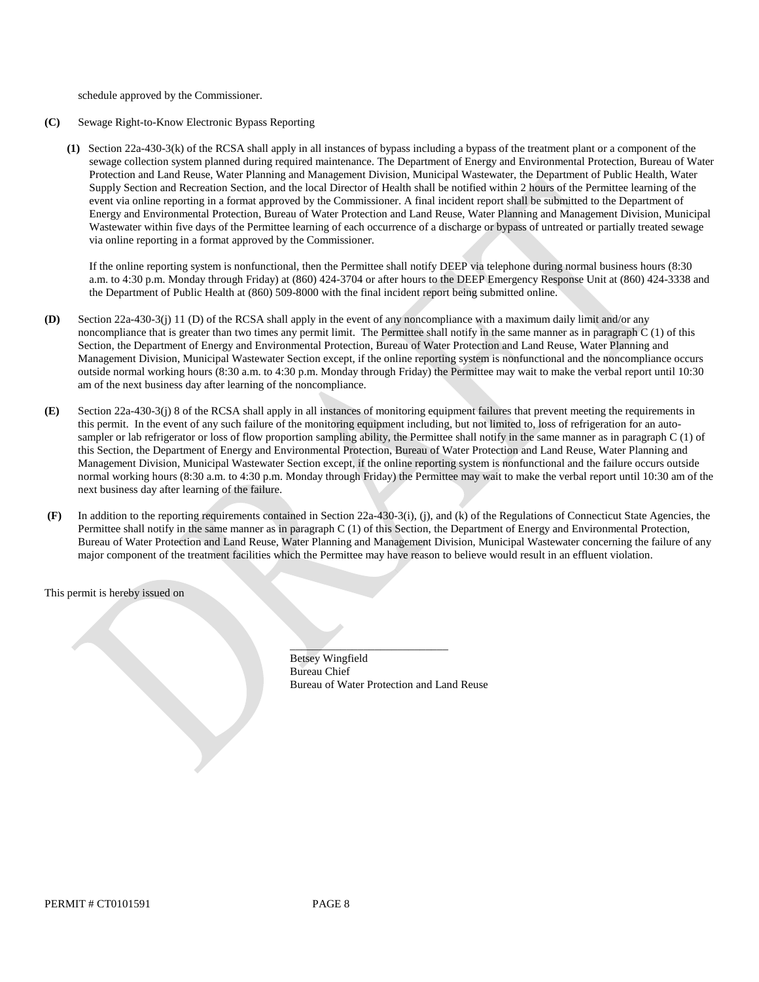schedule approved by the Commissioner.

- Sewage Right-to-Know Electronic Bypass Reporting **(C)**
	- **(1)** Section 22a-430-3(k) of the RCSA shall apply in all instances of bypass including a bypass of the treatment plant or a component of the sewage collection system planned during required maintenance. The Department of Energy and Environmental Protection, Bureau of Water Protection and Land Reuse, Water Planning and Management Division, Municipal Wastewater, the Department of Public Health, Water Supply Section and Recreation Section, and the local Director of Health shall be notified within 2 hours of the Permittee learning of the event via online reporting in a format approved by the Commissioner. A final incident report shall be submitted to the Department of Energy and Environmental Protection, Bureau of Water Protection and Land Reuse, Water Planning and Management Division, Municipal Wastewater within five days of the Permittee learning of each occurrence of a discharge or bypass of untreated or partially treated sewage via online reporting in a format approved by the Commissioner.

a. m. to 4:30 p.m. Monday through Friday) at (860) 424-3704 or after hours to the DEEP Emergency Response Unit at (860) 424-3338 and If the online reporting system is nonfunctional, then the Permittee shall notify DEEP via telephone during normal business hours (8:30 the Department of Public Health at (860) 509-8000 with the final incident report being submitted online.

- **(D)** Section 22a-430-3(j) 11 (D) of the RCSA shall apply in the event of any noncompliance with a maximum daily limit and/or any noncompliance that is greater than two times any permit limit. The Permittee shall notify in the same manner as in paragraph C (1) of this Section, the Department of Energy and Environmental Protection, Bureau of Water Protection and Land Reuse, Water Planning and Management Division, Municipal Wastewater Section except, if the online reporting system is nonfunctional and the noncompliance occurs outside normal working hours (8:30 a.m. to 4:30 p.m. Monday through Friday) the Permittee may wait to make the verbal report until 10:30 am of the next business day after learning of the noncompliance.
- next business day after learning of the failure. **(E)** Section 22a-430-3(j) 8 of the RCSA shall apply in all instances of monitoring equipment failures that prevent meeting the requirements in this permit. In the event of any such failure of the monitoring equipment including, but not limited to, loss of refrigeration for an autosampler or lab refrigerator or loss of flow proportion sampling ability, the Permittee shall notify in the same manner as in paragraph C (1) of this Section, the Department of Energy and Environmental Protection, Bureau of Water Protection and Land Reuse, Water Planning and Management Division, Municipal Wastewater Section except, if the online reporting system is nonfunctional and the failure occurs outside normal working hours (8:30 a.m. to 4:30 p.m. Monday through Friday) the Permittee may wait to make the verbal report until 10:30 am of the
- major component of the treatment facilities which the Permittee may have reason to believe would result in an effluent violation. **(F)** In addition to the reporting requirements contained in Section 22a-430-3(i), (j), and (k) of the Regulations of Connecticut State Agencies, the Permittee shall notify in the same manner as in paragraph C (1) of this Section, the Department of Energy and Environmental Protection, Bureau of Water Protection and Land Reuse, Water Planning and Management Division, Municipal Wastewater concerning the failure of any

This permit is hereby issued on

\_\_\_\_\_\_\_\_\_\_\_\_\_\_\_\_\_\_\_\_\_\_\_\_\_\_\_\_ Betsey Wingfield Bureau Chief Bureau of Water Protection and Land Reuse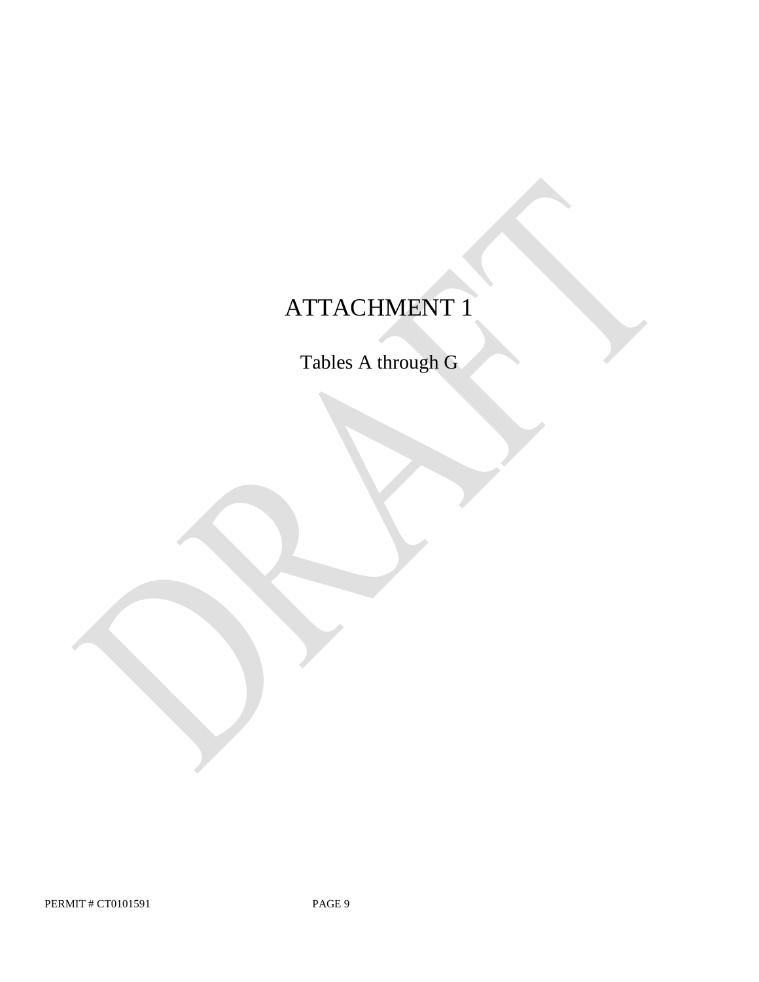# ATTACHMENT 1

Tables A through G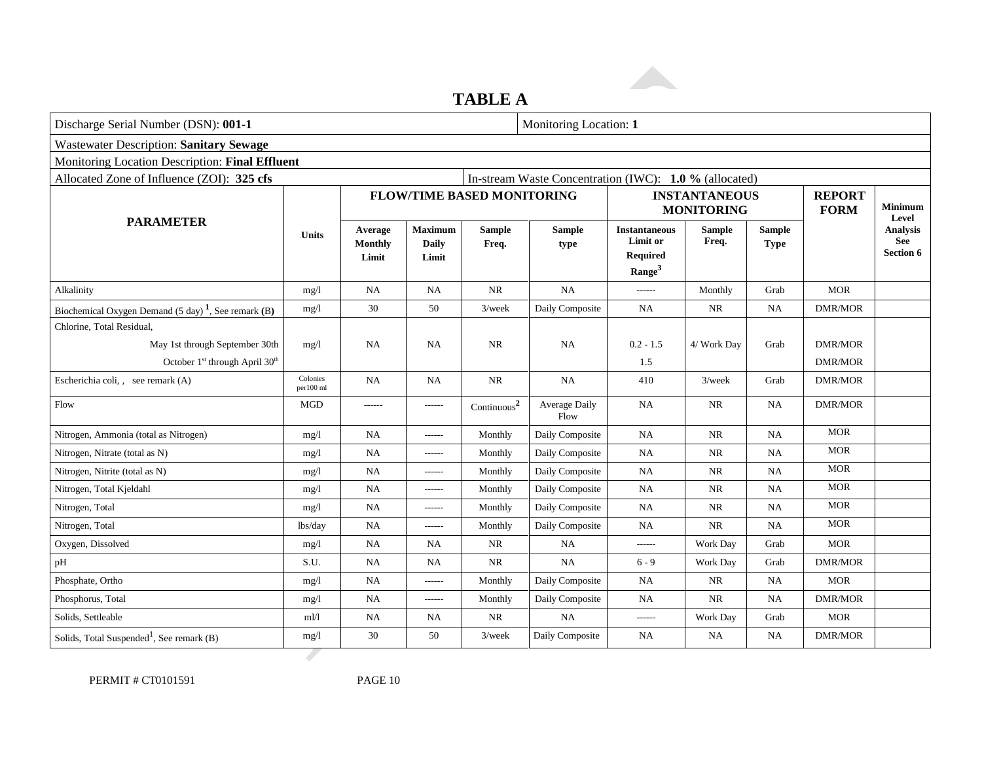# **TABLE A**

| Discharge Serial Number (DSN): 001-1                           |                       |                             |                                         |                                   | Monitoring Location: 1                                 |                                                                           |                                           |                              |                              |                                                                |
|----------------------------------------------------------------|-----------------------|-----------------------------|-----------------------------------------|-----------------------------------|--------------------------------------------------------|---------------------------------------------------------------------------|-------------------------------------------|------------------------------|------------------------------|----------------------------------------------------------------|
| <b>Wastewater Description: Sanitary Sewage</b>                 |                       |                             |                                         |                                   |                                                        |                                                                           |                                           |                              |                              |                                                                |
| Monitoring Location Description: Final Effluent                |                       |                             |                                         |                                   |                                                        |                                                                           |                                           |                              |                              |                                                                |
| Allocated Zone of Influence (ZOI): 325 cfs                     |                       |                             |                                         |                                   | In-stream Waste Concentration (IWC): 1.0 % (allocated) |                                                                           |                                           |                              |                              |                                                                |
|                                                                |                       |                             |                                         | <b>FLOW/TIME BASED MONITORING</b> |                                                        |                                                                           | <b>INSTANTANEOUS</b><br><b>MONITORING</b> |                              | <b>REPORT</b><br><b>FORM</b> | <b>Minimum</b><br>Level<br>Analysis<br><b>See</b><br>Section 6 |
| <b>PARAMETER</b>                                               | <b>Units</b>          | Average<br>Monthly<br>Limit | <b>Maximum</b><br><b>Daily</b><br>Limit | <b>Sample</b><br>Freq.            | <b>Sample</b><br>type                                  | <b>Instantaneous</b><br>Limit or<br><b>Required</b><br>Range <sup>3</sup> | <b>Sample</b><br>Freq.                    | <b>Sample</b><br><b>Type</b> |                              |                                                                |
| Alkalinity                                                     | mg/1                  | <b>NA</b>                   | <b>NA</b>                               | <b>NR</b>                         | NA                                                     | ------                                                                    | Monthly                                   | Grab                         | <b>MOR</b>                   |                                                                |
| Biochemical Oxygen Demand $(5 \text{ day})^1$ , See remark (B) | mg/1                  | 30                          | 50                                      | $3$ /week                         | Daily Composite                                        | <b>NA</b>                                                                 | <b>NR</b>                                 | <b>NA</b>                    | <b>DMR/MOR</b>               |                                                                |
| Chlorine, Total Residual,                                      |                       |                             |                                         |                                   |                                                        |                                                                           |                                           |                              |                              |                                                                |
| May 1st through September 30th                                 | mg/1                  | NA                          | <b>NA</b>                               | NR                                | NA                                                     | $0.2 - 1.5$                                                               | 4/ Work Day                               | Grab                         | <b>DMR/MOR</b>               |                                                                |
| October 1 <sup>st</sup> through April 30 <sup>th</sup>         |                       |                             |                                         |                                   |                                                        | 1.5                                                                       |                                           |                              | <b>DMR/MOR</b>               |                                                                |
| Escherichia coli, , see remark (A)                             | Colonies<br>per100 ml | <b>NA</b>                   | <b>NA</b>                               | <b>NR</b>                         | NA                                                     | 410                                                                       | $3$ /week                                 | Grab                         | <b>DMR/MOR</b>               |                                                                |
| Flow                                                           | <b>MGD</b>            | ------                      | ------                                  | $\text{Continuous}^2$             | <b>Average Daily</b><br>Flow                           | NA                                                                        | NR                                        | NA                           | <b>DMR/MOR</b>               |                                                                |
| Nitrogen, Ammonia (total as Nitrogen)                          | mg/1                  | NA                          | ------                                  | Monthly                           | Daily Composite                                        | <b>NA</b>                                                                 | NR                                        | NA                           | <b>MOR</b>                   |                                                                |
| Nitrogen, Nitrate (total as N)                                 | mg/l                  | NA                          | ------                                  | Monthly                           | Daily Composite                                        | NA                                                                        | NR                                        | NA                           | <b>MOR</b>                   |                                                                |
| Nitrogen, Nitrite (total as N)                                 | mg/1                  | <b>NA</b>                   | ------                                  | Monthly                           | Daily Composite                                        | <b>NA</b>                                                                 | <b>NR</b>                                 | NA                           | <b>MOR</b>                   |                                                                |
| Nitrogen, Total Kjeldahl                                       | mg/1                  | <b>NA</b>                   | ------                                  | Monthly                           | Daily Composite                                        | <b>NA</b>                                                                 | NR                                        | <b>NA</b>                    | <b>MOR</b>                   |                                                                |
| Nitrogen, Total                                                | mg/1                  | <b>NA</b>                   | ------                                  | Monthly                           | Daily Composite                                        | <b>NA</b>                                                                 | <b>NR</b>                                 | NA                           | <b>MOR</b>                   |                                                                |
| Nitrogen, Total                                                | lbs/day               | NA                          | ------                                  | Monthly                           | Daily Composite                                        | <b>NA</b>                                                                 | <b>NR</b>                                 | <b>NA</b>                    | <b>MOR</b>                   |                                                                |
| Oxygen, Dissolved                                              | mg/1                  | NA                          | <b>NA</b>                               | NR                                | NA                                                     | ------                                                                    | Work Day                                  | Grab                         | <b>MOR</b>                   |                                                                |
| pH                                                             | S.U.                  | NA                          | NA                                      | NR                                | NA                                                     | $6 - 9$                                                                   | Work Day                                  | Grab                         | <b>DMR/MOR</b>               |                                                                |
| Phosphate, Ortho                                               | mg/1                  | <b>NA</b>                   | ------                                  | Monthly                           | Daily Composite                                        | NA                                                                        | $\rm NR$                                  | NA                           | <b>MOR</b>                   |                                                                |
| Phosphorus, Total                                              | mg/1                  | NA                          | ------                                  | Monthly                           | Daily Composite                                        | <b>NA</b>                                                                 | <b>NR</b>                                 | NA                           | <b>DMR/MOR</b>               |                                                                |
| Solids, Settleable                                             | ml/l                  | <b>NA</b>                   | NA                                      | <b>NR</b>                         | <b>NA</b>                                              | ------                                                                    | Work Day                                  | Grab                         | <b>MOR</b>                   |                                                                |
| Solids, Total Suspended <sup>1</sup> , See remark (B)          | mg/1                  | 30                          | 50                                      | $3$ /week                         | Daily Composite                                        | <b>NA</b>                                                                 | <b>NA</b>                                 | <b>NA</b>                    | <b>DMR/MOR</b>               |                                                                |
|                                                                |                       |                             |                                         |                                   |                                                        |                                                                           |                                           |                              |                              |                                                                |

PERMIT # CT0101591 PAGE 10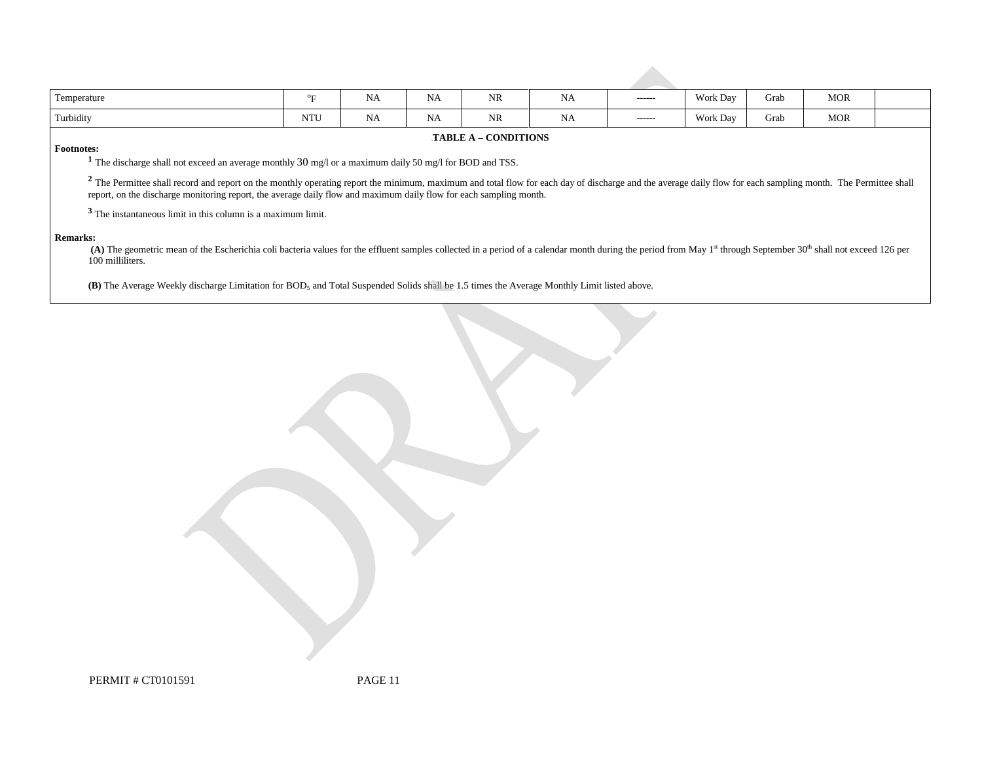| Temperature                                                                                                                                                                                                                                                                                                                                    | °F         | <b>NA</b> | <b>NA</b> | <b>NR</b> | <b>NA</b> | ------- | Work Day | Grab | <b>MOR</b> |  |
|------------------------------------------------------------------------------------------------------------------------------------------------------------------------------------------------------------------------------------------------------------------------------------------------------------------------------------------------|------------|-----------|-----------|-----------|-----------|---------|----------|------|------------|--|
| Turbidity                                                                                                                                                                                                                                                                                                                                      | <b>NTU</b> | <b>NA</b> | <b>NA</b> | <b>NR</b> | <b>NA</b> | ------  | Work Day | Grab | <b>MOR</b> |  |
| <b>TABLE A - CONDITIONS</b>                                                                                                                                                                                                                                                                                                                    |            |           |           |           |           |         |          |      |            |  |
| <b>Footnotes:</b>                                                                                                                                                                                                                                                                                                                              |            |           |           |           |           |         |          |      |            |  |
| <sup>1</sup> The discharge shall not exceed an average monthly $30 \text{ mg/l}$ or a maximum daily $50 \text{ mg/l}$ for BOD and TSS.                                                                                                                                                                                                         |            |           |           |           |           |         |          |      |            |  |
| <sup>2</sup> The Permittee shall record and report on the monthly operating report the minimum, maximum and total flow for each day of discharge and the average daily flow for each sampling month. The Permittee shall<br>report, on the discharge monitoring report, the average daily flow and maximum daily flow for each sampling month. |            |           |           |           |           |         |          |      |            |  |
| <sup>5</sup> The instantaneous limit in this column is a maximum limit.                                                                                                                                                                                                                                                                        |            |           |           |           |           |         |          |      |            |  |
| <b>Remarks:</b><br>(A) The geometric mean of the Escherichia coli bacteria values for the effluent samples collected in a period of a calendar month during the period from May 1 <sup>st</sup> through September 30 <sup>th</sup> shall not exceed 126 per<br>100 milliliters.                                                                |            |           |           |           |           |         |          |      |            |  |

(B) The Average Weekly discharge Limitation for BOD<sub>5</sub> and Total Suspended Solids shall be 1.5 times the Average Monthly Limit listed above.

PERMIT # CT0101591 PAGE 11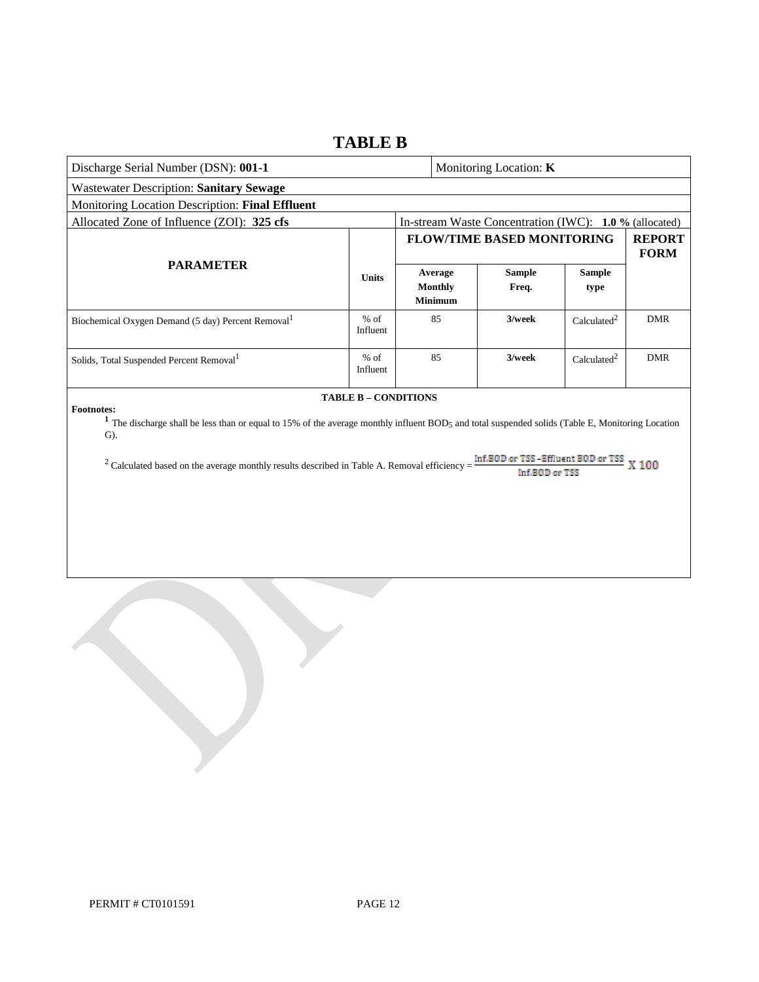### **TABLE B**

| Discharge Serial Number (DSN): 001-1                                                                                                                                                                                                                                                                                                                                                                           |                    |  |                                             | Monitoring Location: K                                 |                         |                              |
|----------------------------------------------------------------------------------------------------------------------------------------------------------------------------------------------------------------------------------------------------------------------------------------------------------------------------------------------------------------------------------------------------------------|--------------------|--|---------------------------------------------|--------------------------------------------------------|-------------------------|------------------------------|
| <b>Wastewater Description: Sanitary Sewage</b>                                                                                                                                                                                                                                                                                                                                                                 |                    |  |                                             |                                                        |                         |                              |
| Monitoring Location Description: Final Effluent                                                                                                                                                                                                                                                                                                                                                                |                    |  |                                             |                                                        |                         |                              |
| Allocated Zone of Influence (ZOI): 325 cfs                                                                                                                                                                                                                                                                                                                                                                     |                    |  |                                             | In-stream Waste Concentration (IWC): 1.0 % (allocated) |                         |                              |
|                                                                                                                                                                                                                                                                                                                                                                                                                |                    |  |                                             | <b>FLOW/TIME BASED MONITORING</b>                      |                         | <b>REPORT</b><br><b>FORM</b> |
| <b>PARAMETER</b>                                                                                                                                                                                                                                                                                                                                                                                               | <b>Units</b>       |  | Average<br><b>Monthly</b><br><b>Minimum</b> | <b>Sample</b><br>Freq.                                 | <b>Sample</b><br>type   |                              |
| Biochemical Oxygen Demand (5 day) Percent Removal <sup>1</sup>                                                                                                                                                                                                                                                                                                                                                 | $%$ of<br>Influent |  | 85                                          | 3/week                                                 | Calculated <sup>2</sup> | <b>DMR</b>                   |
| Solids, Total Suspended Percent Removal <sup>1</sup>                                                                                                                                                                                                                                                                                                                                                           | $%$ of<br>Influent |  | 85                                          | 3/week                                                 | Calculated <sup>2</sup> | <b>DMR</b>                   |
| <b>TABLE B - CONDITIONS</b><br><b>Footnotes:</b><br><sup>1</sup> The discharge shall be less than or equal to 15% of the average monthly influent BOD <sub>5</sub> and total suspended solids (Table E, Monitoring Location<br>$\mathbf{G}$ ).<br>Inf.BOD or TSS-Effluent BOD or TSS X 100<br>$2$ Calculated based on the average monthly results described in Table A. Removal efficiency =<br>Inf.BOD or TSS |                    |  |                                             |                                                        |                         |                              |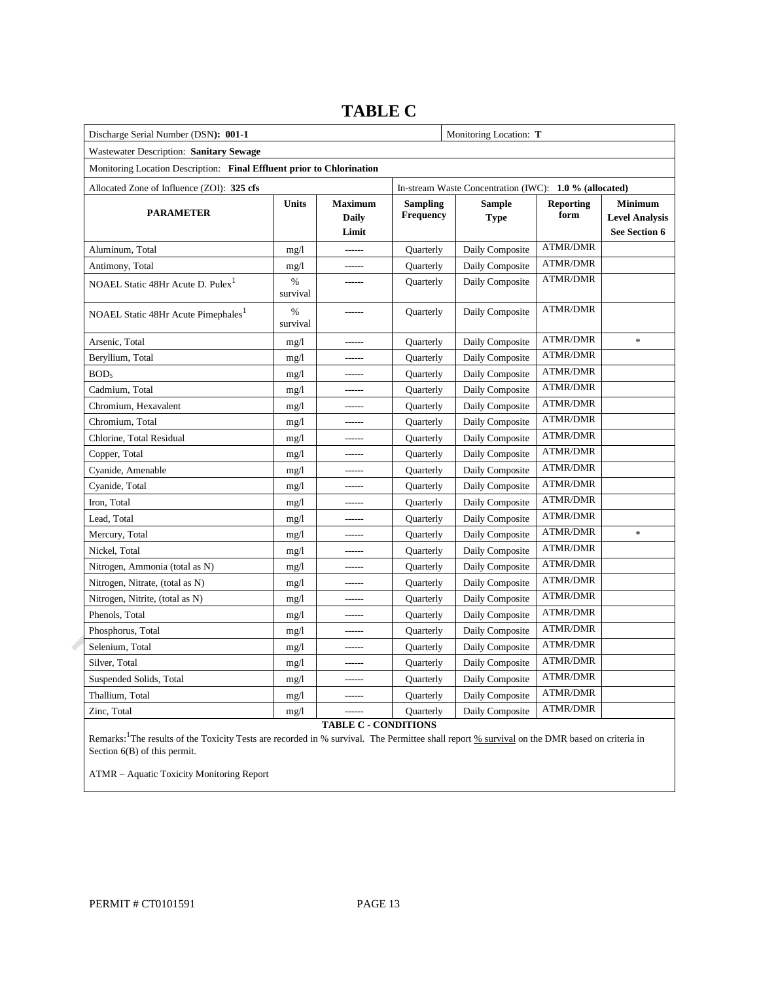| Discharge Serial Number (DSN): 001-1                                  |               | Monitoring Location: T                  |                                     |                                                        |                          |                                                                 |
|-----------------------------------------------------------------------|---------------|-----------------------------------------|-------------------------------------|--------------------------------------------------------|--------------------------|-----------------------------------------------------------------|
| Wastewater Description: Sanitary Sewage                               |               |                                         |                                     |                                                        |                          |                                                                 |
| Monitoring Location Description: Final Effluent prior to Chlorination |               |                                         |                                     |                                                        |                          |                                                                 |
| Allocated Zone of Influence (ZOI): 325 cfs                            |               |                                         |                                     | In-stream Waste Concentration (IWC): 1.0 % (allocated) |                          |                                                                 |
| <b>PARAMETER</b>                                                      | <b>Units</b>  | <b>Maximum</b><br><b>Daily</b><br>Limit | <b>Sampling</b><br><b>Frequency</b> | Sample<br><b>Type</b>                                  | <b>Reporting</b><br>form | <b>Minimum</b><br><b>Level Analysis</b><br><b>See Section 6</b> |
| Aluminum, Total                                                       | mg/1          | ------                                  | <b>Ouarterly</b>                    | Daily Composite                                        | <b>ATMR/DMR</b>          |                                                                 |
| Antimony, Total                                                       | mg/1          | ------                                  | <b>Ouarterly</b>                    | Daily Composite                                        | ATMR/DMR                 |                                                                 |
| NOAEL Static 48Hr Acute D. Pulex <sup>1</sup>                         | %<br>survival | ------                                  | Quarterly                           | Daily Composite                                        | <b>ATMR/DMR</b>          |                                                                 |
| NOAEL Static 48Hr Acute Pimephales <sup>1</sup>                       | %<br>survival |                                         | <b>Quarterly</b>                    | Daily Composite                                        | <b>ATMR/DMR</b>          |                                                                 |
| Arsenic, Total                                                        | mg/1          |                                         | Quarterly                           | Daily Composite                                        | <b>ATMR/DMR</b>          | $\frac{d\mathbf{r}}{d\mathbf{r}}$                               |
| Beryllium, Total                                                      | mg/1          |                                         | Quarterly                           | Daily Composite                                        | <b>ATMR/DMR</b>          |                                                                 |
| BOD <sub>5</sub>                                                      | mg/1          | ------                                  | Quarterly                           | Daily Composite                                        | <b>ATMR/DMR</b>          |                                                                 |
| Cadmium, Total                                                        | mg/1          | ------                                  | Quarterly                           | Daily Composite                                        | <b>ATMR/DMR</b>          |                                                                 |
| Chromium, Hexavalent                                                  | mg/1          | ------                                  | Quarterly                           | Daily Composite                                        | <b>ATMR/DMR</b>          |                                                                 |
| Chromium, Total                                                       | mg/1          | ------                                  | Quarterly                           | Daily Composite                                        | <b>ATMR/DMR</b>          |                                                                 |
| Chlorine, Total Residual                                              | mg/1          | ------                                  | Quarterly                           | Daily Composite                                        | <b>ATMR/DMR</b>          |                                                                 |
| Copper, Total                                                         | mg/1          | ------                                  | Quarterly                           | Daily Composite                                        | <b>ATMR/DMR</b>          |                                                                 |
| Cyanide, Amenable                                                     | mg/1          | ------                                  | Quarterly                           | Daily Composite                                        | <b>ATMR/DMR</b>          |                                                                 |
| Cyanide, Total                                                        | mg/1          | ------                                  | Quarterly                           | Daily Composite                                        | <b>ATMR/DMR</b>          |                                                                 |
| Iron, Total                                                           | mg/1          | ------                                  | Quarterly                           | Daily Composite                                        | <b>ATMR/DMR</b>          |                                                                 |
| Lead, Total                                                           | mg/1          | ------                                  | Quarterly                           | Daily Composite                                        | <b>ATMR/DMR</b>          |                                                                 |
| Mercury, Total                                                        | mg/1          | ------                                  | Quarterly                           | Daily Composite                                        | <b>ATMR/DMR</b>          | *                                                               |
| Nickel, Total                                                         | mg/1          | ------                                  | Quarterly                           | Daily Composite                                        | <b>ATMR/DMR</b>          |                                                                 |
| Nitrogen, Ammonia (total as N)                                        | mg/1          | ------                                  | Quarterly                           | Daily Composite                                        | <b>ATMR/DMR</b>          |                                                                 |
| Nitrogen, Nitrate, (total as N)                                       | mg/1          | ------                                  | Quarterly                           | Daily Composite                                        | <b>ATMR/DMR</b>          |                                                                 |
| Nitrogen, Nitrite, (total as N)                                       | mg/1          | ------                                  | Quarterly                           | Daily Composite                                        | <b>ATMR/DMR</b>          |                                                                 |
| Phenols, Total                                                        | mg/1          | ------                                  | Quarterly                           | Daily Composite                                        | <b>ATMR/DMR</b>          |                                                                 |
| Phosphorus, Total                                                     | mg/1          | ------                                  | Quarterly                           | Daily Composite                                        | <b>ATMR/DMR</b>          |                                                                 |
| Selenium, Total                                                       | mg/l          | ------                                  | Quarterly                           | Daily Composite                                        | <b>ATMR/DMR</b>          |                                                                 |
| Silver, Total                                                         | mg/1          | ------                                  | Quarterly                           | Daily Composite                                        | <b>ATMR/DMR</b>          |                                                                 |
| Suspended Solids, Total                                               | mg/l          | ------                                  | Quarterly                           | Daily Composite                                        | <b>ATMR/DMR</b>          |                                                                 |
| Thallium, Total                                                       | mg/1          | ------                                  | Quarterly                           | Daily Composite                                        | <b>ATMR/DMR</b>          |                                                                 |
| Zinc, Total                                                           | mg/1          | ------                                  | Quarterly                           | Daily Composite                                        | <b>ATMR/DMR</b>          |                                                                 |

# **TABLE C**

**TABLE C - CONDITIONS** 

Remarks: <sup>1</sup>The results of the Toxicity Tests are recorded in % survival. The Permittee shall report % survival on the DMR based on criteria in Section 6(B) of this permit.

ATMR – Aquatic Toxicity Monitoring Report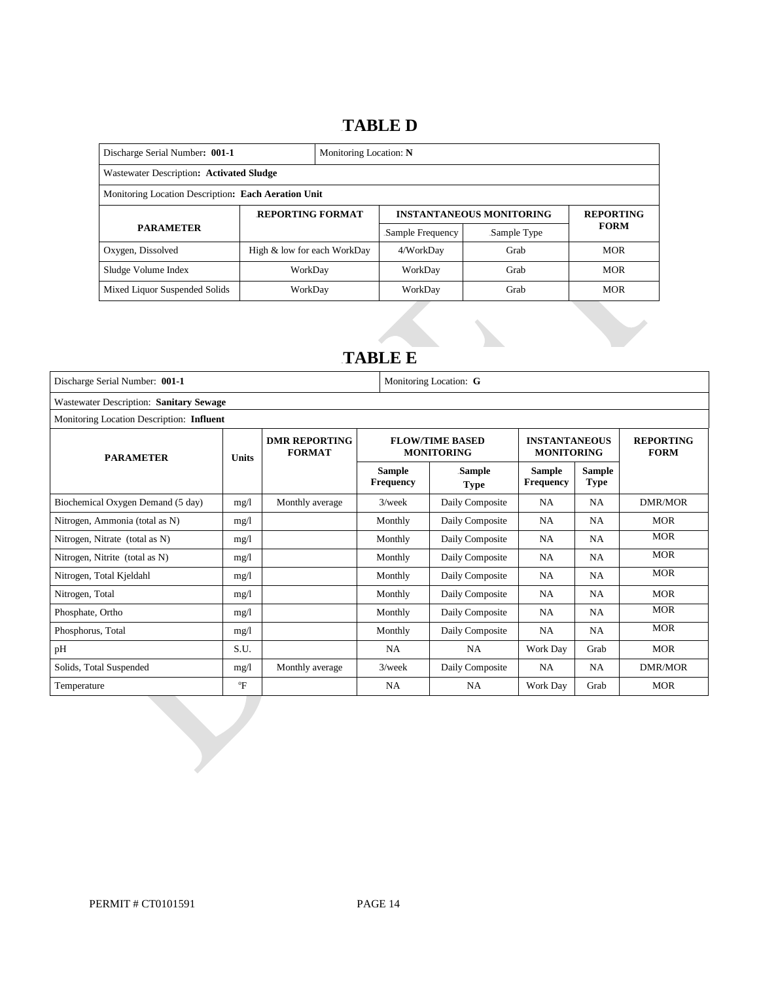## 14B**TABLE D**

| Discharge Serial Number: 001-1                      |                             | Monitoring Location: N |                  |                                 |                  |  |  |
|-----------------------------------------------------|-----------------------------|------------------------|------------------|---------------------------------|------------------|--|--|
| Wastewater Description: Activated Sludge            |                             |                        |                  |                                 |                  |  |  |
| Monitoring Location Description: Each Aeration Unit |                             |                        |                  |                                 |                  |  |  |
|                                                     | <b>REPORTING FORMAT</b>     |                        |                  | <b>INSTANTANEOUS MONITORING</b> | <b>REPORTING</b> |  |  |
| <b>PARAMETER</b>                                    |                             |                        | Sample Frequency | Sample Type                     | <b>FORM</b>      |  |  |
| Oxygen, Dissolved                                   | High & low for each WorkDay |                        | 4/WorkDay        | Grab                            | <b>MOR</b>       |  |  |
| Sludge Volume Index                                 | WorkDay                     |                        | WorkDay          | Grab                            | <b>MOR</b>       |  |  |
| Mixed Liquor Suspended Solids                       | WorkDay                     |                        | WorkDay          | Grab                            | <b>MOR</b>       |  |  |

## 15B**TABLE E**

| Discharge Serial Number: 001-1            |              | Monitoring Location: G                |                                   |                                             |                                           |                       |                                 |  |
|-------------------------------------------|--------------|---------------------------------------|-----------------------------------|---------------------------------------------|-------------------------------------------|-----------------------|---------------------------------|--|
| Wastewater Description: Sanitary Sewage   |              |                                       |                                   |                                             |                                           |                       |                                 |  |
| Monitoring Location Description: Influent |              |                                       |                                   |                                             |                                           |                       |                                 |  |
| <b>PARAMETER</b><br><b>Units</b>          |              | <b>DMR REPORTING</b><br><b>FORMAT</b> |                                   | <b>FLOW/TIME BASED</b><br><b>MONITORING</b> | <b>INSTANTANEOUS</b><br><b>MONITORING</b> |                       | <b>REPORTING</b><br><b>FORM</b> |  |
|                                           |              |                                       | <b>Sample</b><br><b>Frequency</b> | Sample<br><b>Type</b>                       | Sample<br><b>Frequency</b>                | Sample<br><b>Type</b> |                                 |  |
| Biochemical Oxygen Demand (5 day)         | mg/l         | Monthly average                       | $3$ /week                         | Daily Composite                             | NA                                        | <b>NA</b>             | DMR/MOR                         |  |
| Nitrogen, Ammonia (total as N)            | mg/l         |                                       | Monthly                           | Daily Composite                             | NA                                        | <b>NA</b>             | <b>MOR</b>                      |  |
| Nitrogen, Nitrate (total as N)            | mg/1         |                                       | Monthly                           | Daily Composite                             | NA                                        | NA                    | <b>MOR</b>                      |  |
| Nitrogen, Nitrite (total as N)            | mg/l         |                                       | Monthly                           | Daily Composite                             | NA                                        | <b>NA</b>             | <b>MOR</b>                      |  |
| Nitrogen, Total Kjeldahl                  | mg/1         |                                       | Monthly                           | Daily Composite                             | NA                                        | <b>NA</b>             | <b>MOR</b>                      |  |
| Nitrogen, Total                           | mg/1         |                                       | Monthly                           | Daily Composite                             | NA                                        | <b>NA</b>             | <b>MOR</b>                      |  |
| Phosphate, Ortho                          | mg/l         |                                       | Monthly                           | Daily Composite                             | <b>NA</b>                                 | <b>NA</b>             | <b>MOR</b>                      |  |
| Phosphorus, Total                         | mg/l         |                                       | Monthly                           | Daily Composite                             | NA                                        | <b>NA</b>             | <b>MOR</b>                      |  |
| pH                                        | S.U.         |                                       | <b>NA</b>                         | <b>NA</b>                                   | Work Day                                  | Grab                  | <b>MOR</b>                      |  |
| Solids, Total Suspended                   | mg/l         | Monthly average                       | $3$ /week                         | Daily Composite                             | NA                                        | <b>NA</b>             | DMR/MOR                         |  |
| Temperature                               | $\mathrm{P}$ |                                       | <b>NA</b>                         | NA                                          | Work Day                                  | Grab                  | <b>MOR</b>                      |  |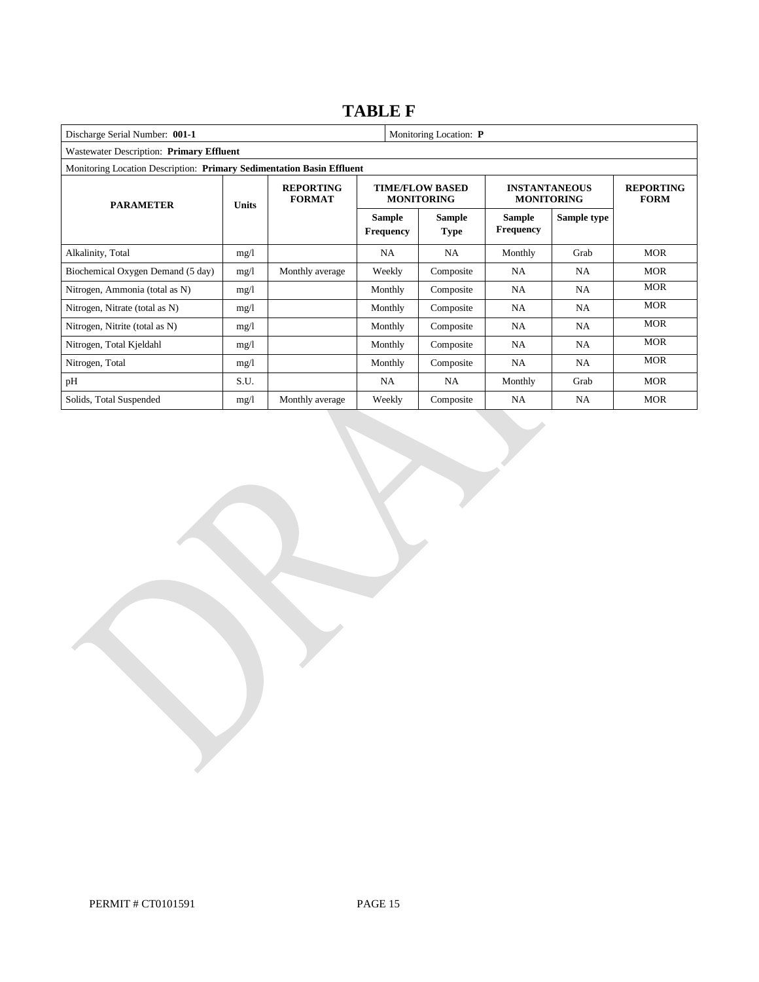## **TABLE F**

| Monitoring Location: P<br>Discharge Serial Number: 001-1              |              |                                   |                                   |                                             |                                           |                                 |            |  |
|-----------------------------------------------------------------------|--------------|-----------------------------------|-----------------------------------|---------------------------------------------|-------------------------------------------|---------------------------------|------------|--|
| Wastewater Description: Primary Effluent                              |              |                                   |                                   |                                             |                                           |                                 |            |  |
| Monitoring Location Description: Primary Sedimentation Basin Effluent |              |                                   |                                   |                                             |                                           |                                 |            |  |
| <b>PARAMETER</b>                                                      | <b>Units</b> | <b>REPORTING</b><br><b>FORMAT</b> |                                   | <b>TIME/FLOW BASED</b><br><b>MONITORING</b> | <b>INSTANTANEOUS</b><br><b>MONITORING</b> | <b>REPORTING</b><br><b>FORM</b> |            |  |
|                                                                       |              |                                   | <b>Sample</b><br><b>Frequency</b> | <b>Sample</b><br><b>Type</b>                | <b>Sample</b><br><b>Frequency</b>         | Sample type                     |            |  |
| Alkalinity, Total                                                     | mg/l         |                                   | <b>NA</b>                         | <b>NA</b>                                   | Monthly                                   | Grab                            | <b>MOR</b> |  |
| Biochemical Oxygen Demand (5 day)                                     | mg/1         | Monthly average                   | Weekly                            | Composite                                   | <b>NA</b>                                 | NA                              | <b>MOR</b> |  |
| Nitrogen, Ammonia (total as N)                                        | mg/l         |                                   | Monthly                           | Composite                                   | <b>NA</b>                                 | NA.                             | <b>MOR</b> |  |
| Nitrogen, Nitrate (total as N)                                        | mg/1         |                                   | Monthly                           | Composite                                   | <b>NA</b>                                 | NA                              | <b>MOR</b> |  |
| Nitrogen, Nitrite (total as N)                                        | mg/1         |                                   | Monthly                           | Composite                                   | NA                                        | NA                              | <b>MOR</b> |  |
| Nitrogen, Total Kjeldahl                                              | mg/l         |                                   | Monthly                           | Composite                                   | <b>NA</b>                                 | NA.                             | <b>MOR</b> |  |
| Nitrogen, Total                                                       | mg/1         |                                   | Monthly                           | Composite                                   | <b>NA</b>                                 | NA                              | <b>MOR</b> |  |
| pH                                                                    | S.U.         |                                   | <b>NA</b>                         | <b>NA</b>                                   | Monthly                                   | Grab                            | <b>MOR</b> |  |
| Solids, Total Suspended                                               | mg/1         | Monthly average                   | Weekly                            | Composite                                   | NA                                        | <b>NA</b>                       | <b>MOR</b> |  |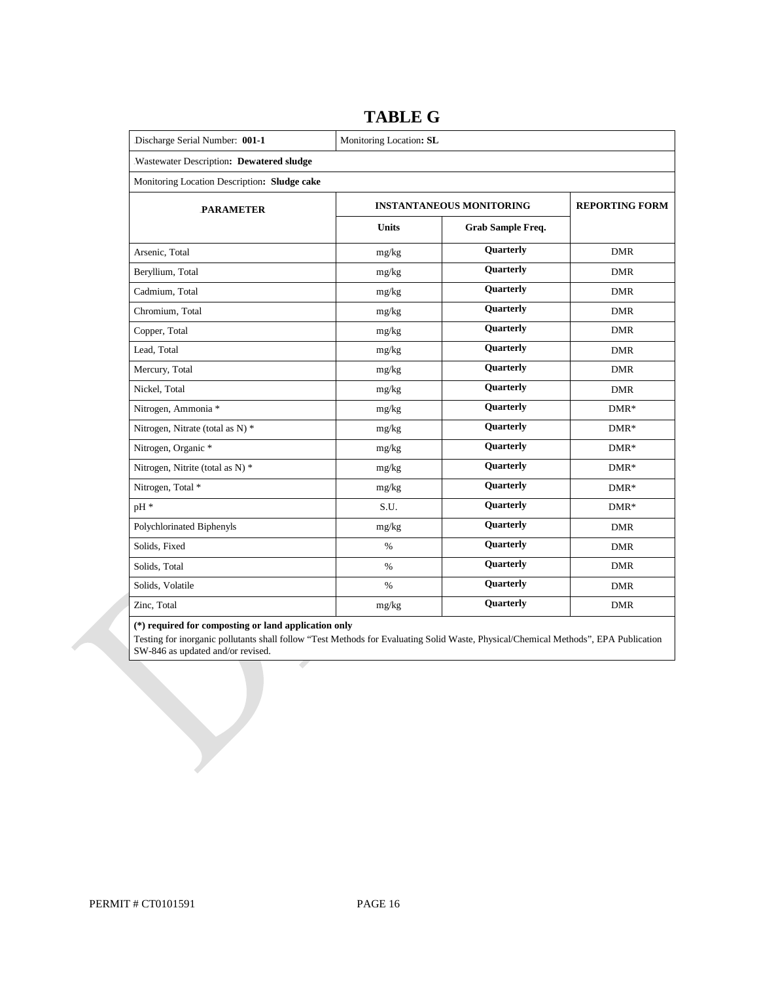| Discharge Serial Number: 001-1               | Monitoring Location: SL |                                 |                       |  |  |  |  |
|----------------------------------------------|-------------------------|---------------------------------|-----------------------|--|--|--|--|
| .Wastewater Description: Dewatered sludge    |                         |                                 |                       |  |  |  |  |
| Monitoring Location Description: Sludge cake |                         |                                 |                       |  |  |  |  |
| <b>PARAMETER</b>                             |                         | <b>INSTANTANEOUS MONITORING</b> | <b>REPORTING FORM</b> |  |  |  |  |
|                                              | <b>Units</b>            | Grab Sample Freq.               |                       |  |  |  |  |
| Arsenic, Total                               | mg/kg                   | Quarterly                       | <b>DMR</b>            |  |  |  |  |
| Beryllium, Total                             | mg/kg                   | Quarterly                       | <b>DMR</b>            |  |  |  |  |
| Cadmium, Total                               | mg/kg                   | Quarterly                       | <b>DMR</b>            |  |  |  |  |
| Chromium, Total                              | mg/kg                   | Quarterly                       | <b>DMR</b>            |  |  |  |  |
| Copper, Total                                | mg/kg                   | Quarterly                       | <b>DMR</b>            |  |  |  |  |
| Lead, Total                                  | mg/kg                   | <b>Quarterly</b>                | <b>DMR</b>            |  |  |  |  |
| Mercury, Total                               | mg/kg                   | Quarterly                       | <b>DMR</b>            |  |  |  |  |
| Nickel, Total                                | mg/kg                   | Quarterly                       | <b>DMR</b>            |  |  |  |  |
| Nitrogen, Ammonia *                          | mg/kg                   | <b>Quarterly</b>                | $DMR*$                |  |  |  |  |
| Nitrogen, Nitrate (total as N) *             | mg/kg                   | <b>Quarterly</b>                | $DMR*$                |  |  |  |  |
| Nitrogen, Organic *                          | mg/kg                   | <b>Quarterly</b>                | $DMR*$                |  |  |  |  |
| Nitrogen, Nitrite (total as N) *             | mg/kg                   | Quarterly                       | $DMR*$                |  |  |  |  |
| Nitrogen, Total *                            | mg/kg                   | <b>Quarterly</b>                | $DMR*$                |  |  |  |  |
| pH *                                         | S.U.                    | <b>Quarterly</b>                | $DMR*$                |  |  |  |  |
| Polychlorinated Biphenyls                    | mg/kg                   | <b>Quarterly</b>                | <b>DMR</b>            |  |  |  |  |
| Solids, Fixed                                | $\%$                    | <b>Quarterly</b>                | <b>DMR</b>            |  |  |  |  |
| Solids, Total                                | $\%$                    | Quarterly                       | <b>DMR</b>            |  |  |  |  |
| Solids, Volatile                             | $\%$                    | <b>Quarterly</b>                | <b>DMR</b>            |  |  |  |  |
| Zinc, Total                                  | mg/kg                   | Quarterly                       | <b>DMR</b>            |  |  |  |  |

### **TABLE G**

#### **(\*) required for composting or land application only**

 Testing for inorganic pollutants shall follow "Test Methods for Evaluating Solid Waste, Physical/Chemical Methods", EPA Publication SW-846 as updated and/or revised.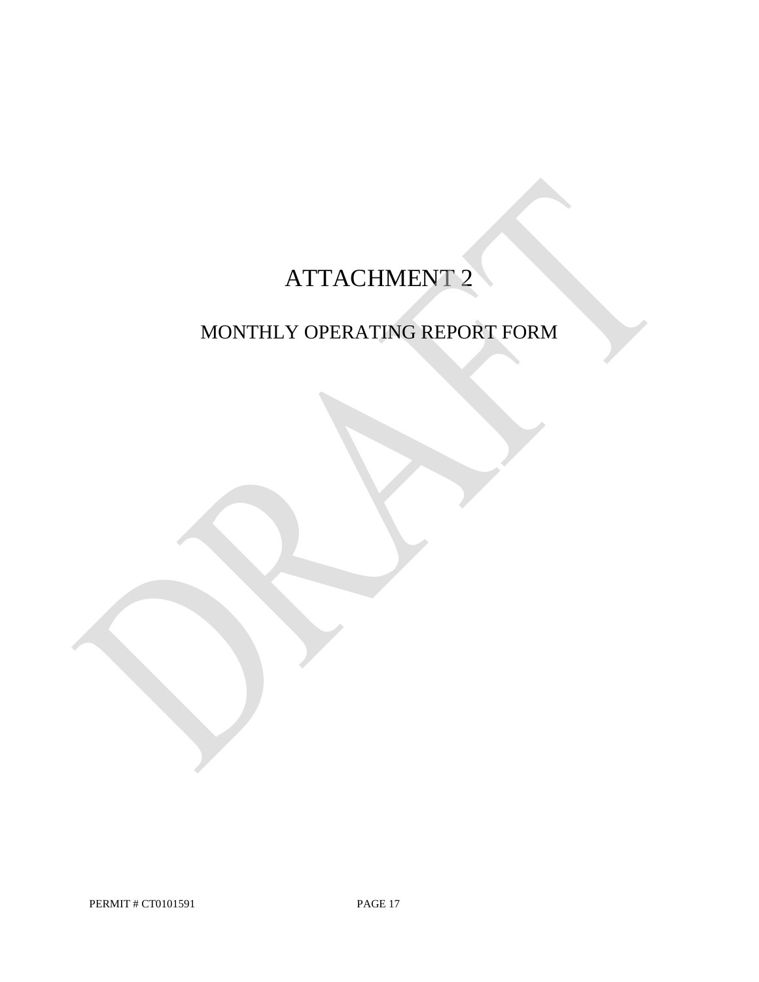# ATTACHMENT 2

# MONTHLY OPERATING REPORT FORM

PERMIT # CT0101591 PAGE 17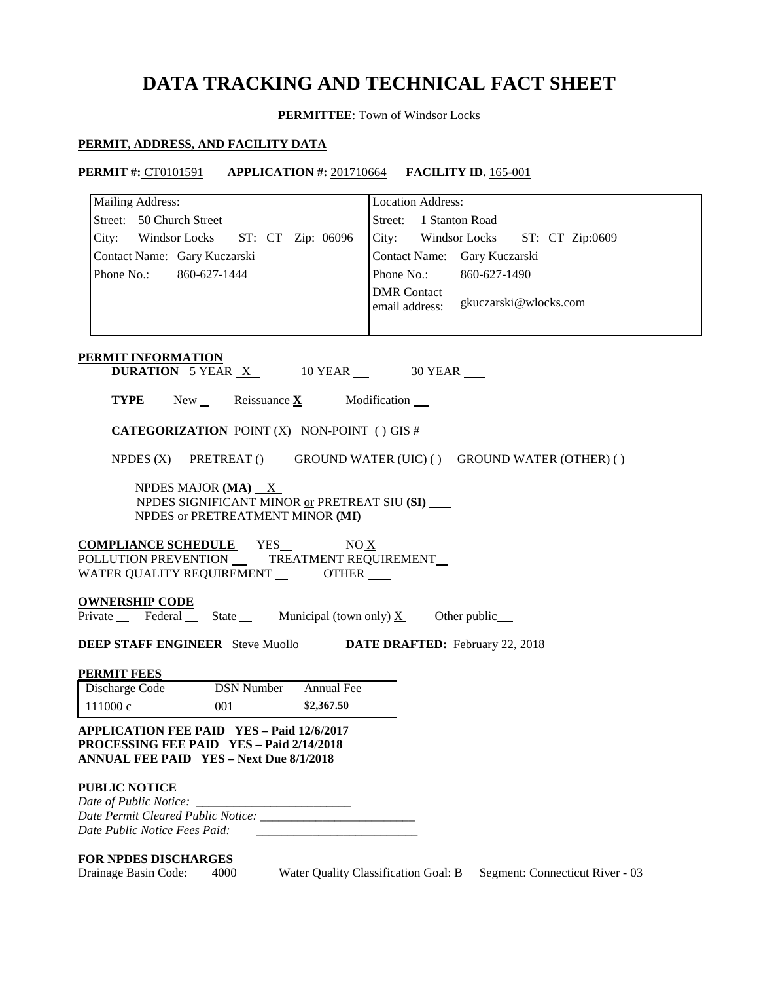# **DATA TRACKING AND TECHNICAL FACT SHEET**

**PERMITTEE**: Town of Windsor Locks

#### **PERMIT, ADDRESS, AND FACILITY DATA**

**PERMIT #:** CT0101591 **APPLICATION #:** 201710664 **FACILITY ID.** 165-001

| <b>Mailing Address:</b>                                                                                                                               | <b>Location Address:</b>                                                |
|-------------------------------------------------------------------------------------------------------------------------------------------------------|-------------------------------------------------------------------------|
| Street: 50 Church Street                                                                                                                              | Street: 1 Stanton Road                                                  |
| City: Windsor Locks<br>ST: CT Zip: 06096                                                                                                              | City: Windsor Locks ST: CT Zip:0609                                     |
| Contact Name: Gary Kuczarski                                                                                                                          | Contact Name: Gary Kuczarski                                            |
| Phone No.: 860-627-1444                                                                                                                               | Phone No.:<br>860-627-1490                                              |
|                                                                                                                                                       | <b>DMR</b> Contact<br>gkuczarski@wlocks.com<br>email address:           |
| PERMIT INFORMATION<br><b>DURATION</b> 5 YEAR $X$ 10 YEAR $\_\$ 30 YEAR                                                                                |                                                                         |
| <b>TYPE</b> New Reissuance $\underline{\mathbf{X}}$ Modification                                                                                      |                                                                         |
| <b>CATEGORIZATION POINT (X) NON-POINT () GIS #</b>                                                                                                    |                                                                         |
| NPDES (X) PRETREAT () GROUND WATER (UIC) () GROUND WATER (OTHER) ()                                                                                   |                                                                         |
| NPDES MAJOR (MA) $X$<br>NPDES SIGNIFICANT MINOR or PRETREAT SIU (SI)<br>NPDES or PRETREATMENT MINOR (MI)                                              |                                                                         |
| <b>COMPLIANCE SCHEDULE</b> YES_ NO X<br>POLLUTION PREVENTION _____ TREATMENT REQUIREMENT __<br>WATER QUALITY REQUIREMENT ________OTHER ____           |                                                                         |
| <b>OWNERSHIP CODE</b><br>Private Federal State Municipal (town only) $\underline{X}$ Other public                                                     |                                                                         |
| <b>DEEP STAFF ENGINEER</b> Steve Muollo <b>DATE DRAFTED:</b> February 22, 2018                                                                        |                                                                         |
| <b>PERMIT FEES</b>                                                                                                                                    |                                                                         |
| Discharge Code<br><b>DSN Number</b><br>Annual Fee                                                                                                     |                                                                         |
| 111000c<br>\$2,367.50<br>001                                                                                                                          |                                                                         |
| <b>APPLICATION FEE PAID YES - Paid 12/6/2017</b><br><b>PROCESSING FEE PAID YES - Paid 2/14/2018</b><br><b>ANNUAL FEE PAID YES - Next Due 8/1/2018</b> |                                                                         |
| <b>PUBLIC NOTICE</b>                                                                                                                                  |                                                                         |
| Date of Public Notice:                                                                                                                                |                                                                         |
| Date Public Notice Fees Paid:                                                                                                                         |                                                                         |
| <b>FOR NPDES DISCHARGES</b><br>Drainage Basin Code:<br>4000                                                                                           | Water Quality Classification Goal: B<br>Segment: Connecticut River - 03 |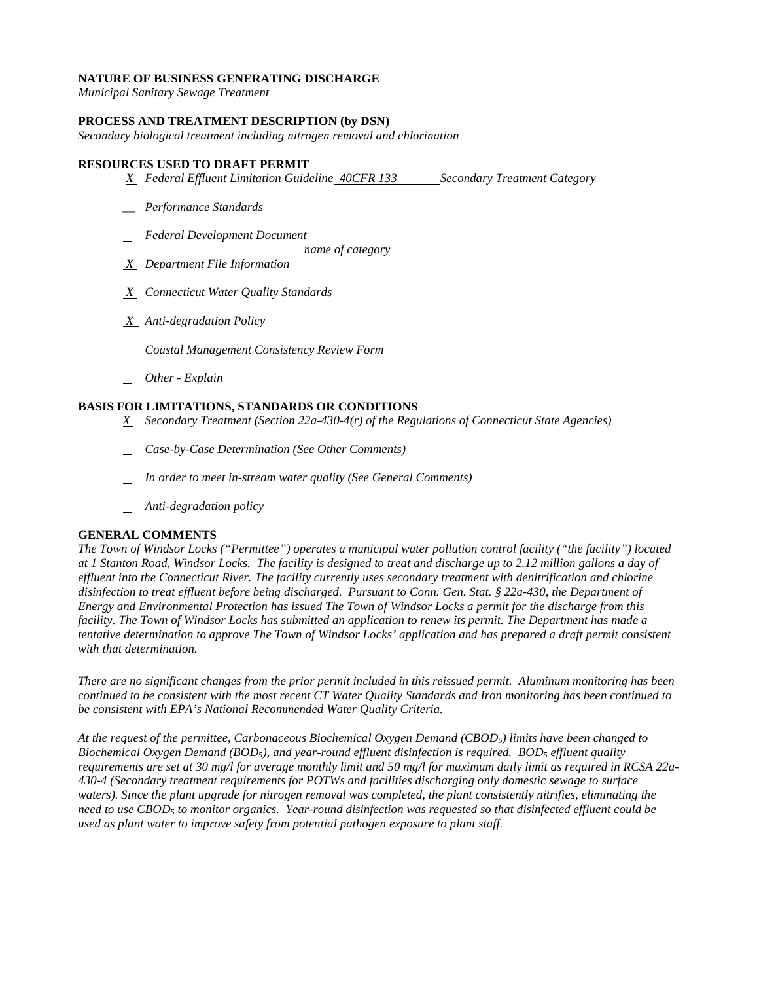#### **NATURE OF BUSINESS GENERATING DISCHARGE**

*Municipal Sanitary Sewage Treatment* 

#### **PROCESS AND TREATMENT DESCRIPTION (by DSN)**

*Secondary biological treatment including nitrogen removal and chlorination* 

#### **RESOURCES USED TO DRAFT PERMIT**

- *X* Federal Effluent Limitation Guideline 40CFR 133 Secondary Treatment Category
- *\_\_ Performance Standards*
- *Federal Development Document* 
	- *name of category*
- *X Department File Information*
- *X Connecticut Water Quality Standards*
- *X Anti-degradation Policy*
- *Coastal Management Consistency Review Form*
- *Other - Explain*

#### **BASIS FOR LIMITATIONS, STANDARDS OR CONDITIONS**

- *X Secondary Treatment (Section 22a-430-4(r) of the Regulations of Connecticut State Agencies)*
- *Case-by-Case Determination (See Other Comments)*
- *In order to meet in-stream water quality (See General Comments)*
- *Anti-degradation policy*

#### **GENERAL COMMENTS**

*The Town of Windsor Locks ("Permittee") operates a municipal water pollution control facility ("the facility") located at 1 Stanton Road, Windsor Locks. The facility is designed to treat and discharge up to 2.12 million gallons a day of effluent into the Connecticut River. The facility currently uses secondary treatment with denitrification and chlorine disinfection to treat effluent before being discharged. Pursuant to Conn. Gen. Stat. § 22a-430, the Department of Energy and Environmental Protection has issued The Town of Windsor Locks a permit for the discharge from this facility. The Town of Windsor Locks has submitted an application to renew its permit. The Department has made a tentative determination to approve The Town of Windsor Locks' application and has prepared a draft permit consistent with that determination.* 

 *There are no significant changes from the prior permit included in this reissued permit. Aluminum monitoring has been*  be consistent with EPA's National Recommended Water Quality Criteria. *continued to be consistent with the most recent CT Water Quality Standards and Iron monitoring has been continued to* 

*be consistent with EPA's National Recommended Water Quality Criteria. At the request of the permittee, Carbonaceous Biochemical Oxygen Demand (CBOD5) limits have been changed to Biochemical Oxygen Demand (BOD5), and year-round effluent disinfection is required. BOD5 effluent quality requirements are set at 30 mg/l for average monthly limit and 50 mg/l for maximum daily limit as required in RCSA 22a-430-4 (Secondary treatment requirements for POTWs and facilities discharging only domestic sewage to surface waters). Since the plant upgrade for nitrogen removal was completed, the plant consistently nitrifies, eliminating the need to use CBOD5 to monitor organics. Year-round disinfection was requested so that disinfected effluent could be used as plant water to improve safety from potential pathogen exposure to plant staff.*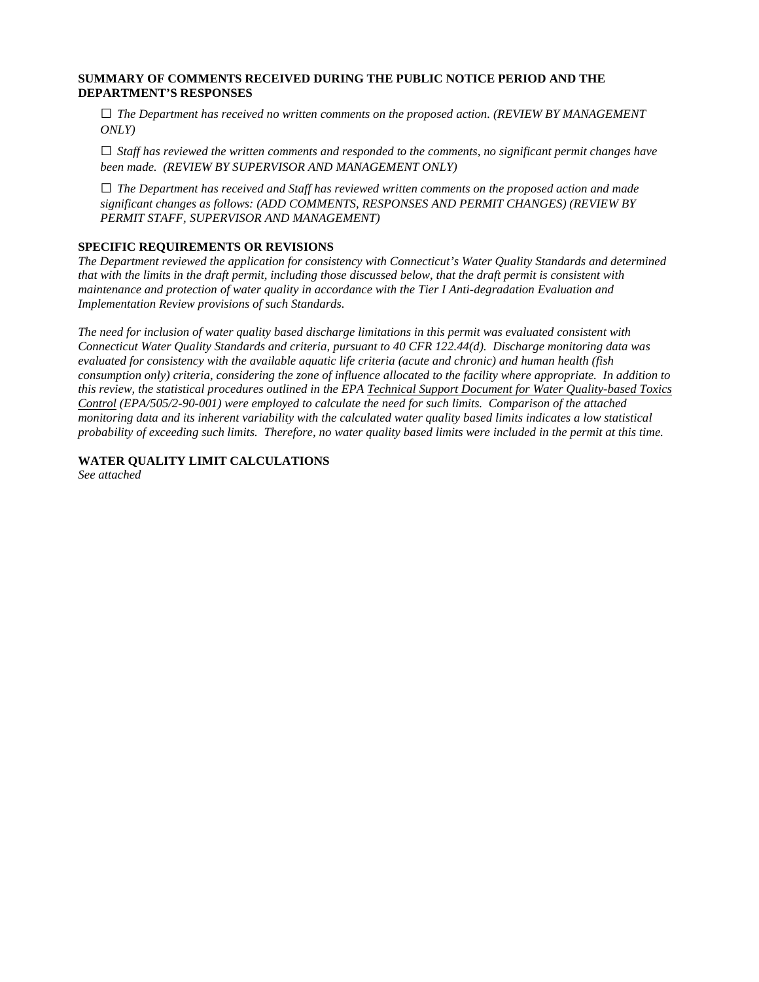#### **SUMMARY OF COMMENTS RECEIVED DURING THE PUBLIC NOTICE PERIOD AND THE DEPARTMENT'S RESPONSES**

**□** *The Department has received no written comments on the proposed action. (REVIEW BY MANAGEMENT ONLY)*

**□** *Staff has reviewed the written comments and responded to the comments, no significant permit changes have been made. (REVIEW BY SUPERVISOR AND MANAGEMENT ONLY)*

**□** *The Department has received and Staff has reviewed written comments on the proposed action and made significant changes as follows: (ADD COMMENTS, RESPONSES AND PERMIT CHANGES) (REVIEW BY PERMIT STAFF, SUPERVISOR AND MANAGEMENT)*

#### **SPECIFIC REQUIREMENTS OR REVISIONS**

*The Department reviewed the application for consistency with Connecticut's Water Quality Standards and determined that with the limits in the draft permit, including those discussed below, that the draft permit is consistent with maintenance and protection of water quality in accordance with the Tier I Anti-degradation Evaluation and Implementation Review provisions of such Standards.* 

*The need for inclusion of water quality based discharge limitations in this permit was evaluated consistent with Connecticut Water Quality Standards and criteria, pursuant to 40 CFR 122.44(d). Discharge monitoring data was evaluated for consistency with the available aquatic life criteria (acute and chronic) and human health (fish consumption only) criteria, considering the zone of influence allocated to the facility where appropriate. In addition to this review, the statistical procedures outlined in the EPA Technical Support Document for Water Quality-based Toxics Control (EPA/505/2-90-001) were employed to calculate the need for such limits. Comparison of the attached monitoring data and its inherent variability with the calculated water quality based limits indicates a low statistical probability of exceeding such limits. Therefore, no water quality based limits were included in the permit at this time.* 

**WATER QUALITY LIMIT CALCULATIONS** 

*See attached*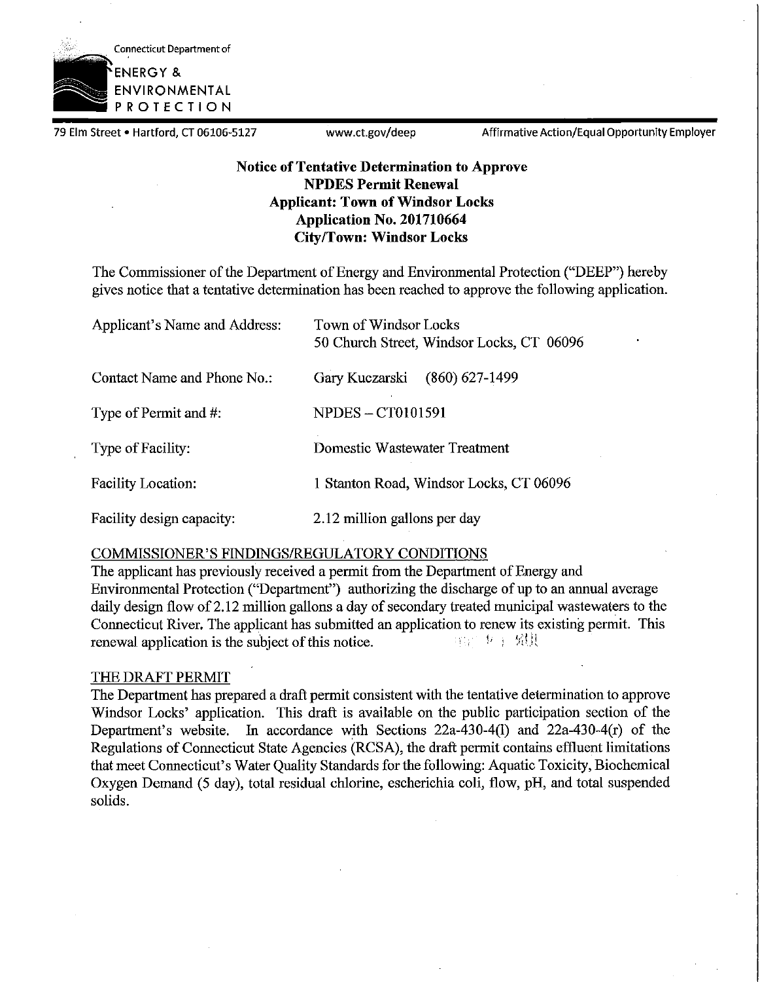

79 Elm Street • Hartford, CT 06106-5127 www.ct.gov/deep Affirmative Action/Equal Opportunity Employer

### **Notice of Tentative Determination to Approve NPDES Permit Renewal Applicant: Town of Windsor Locks Application No. 201710664 City/Town: Windsor Locks**

The Commissioner of the Department of Energy and Environmental Protection ("DEEP") hereby gives notice that a tentative determination has been reached to approve the following application.

| Applicant's Name and Address: | Town of Windsor Locks<br>50 Church Street, Windsor Locks, CT 06096 |
|-------------------------------|--------------------------------------------------------------------|
| Contact Name and Phone No.:   | $(860) 627 - 1499$<br>Gary Kuczarski                               |
| Type of Permit and #:         | <b>NPDES – CT0101591</b>                                           |
| Type of Facility:             | Domestic Wastewater Treatment                                      |
| <b>Facility Location:</b>     | 1 Stanton Road, Windsor Locks, CT 06096                            |
| Facility design capacity:     | 2.12 million gallons per day                                       |

### COMMISSIONER'S FINDINGS/REGULATORY CONDITIONS

The applicant has previously received a permit from the Department of Energy and Environmental Protection ("Department") authorizing the discharge of up to an annual average daily design flow of 2.12 million gallons a day of secondary treated municipal wastewaters to the Connecticut River. The applicant has submitted an application to renew its existing permit. This renewal application is the subject of this notice.

### THE DRAFT PERMIT

The Department has prepared a draft permit consistent with the tentative determination to approve Windsor Locks' application. This draft is available on the public participation section of the Department's website. In accordance with Sections  $22a-430-4(1)$  and  $22a-430-4(r)$  of the Regulations of Connecticut State Agencies (RCSA), the draft permit contains effluent limitations that meet Connecticut's Water Quality Standards for the following: Aquatic Toxicity, Biochemical Oxygen Demand (5 day), total residual chlorine, escherichia coli, flow, pH, and total suspended solids.